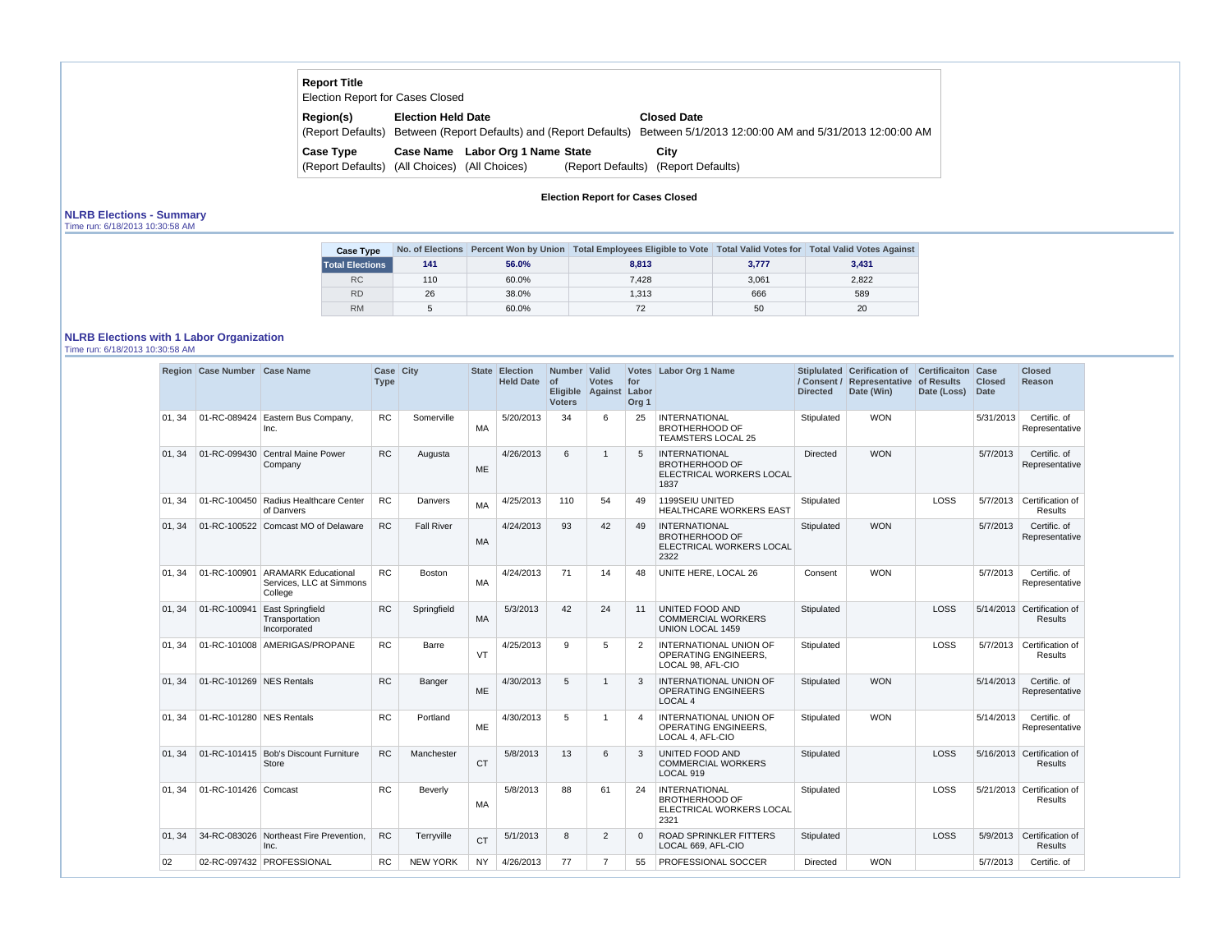# **Report Title**

| <b>Election Report for Cases Closed</b> |                             |                                                 |                   |                                                        |
|-----------------------------------------|-----------------------------|-------------------------------------------------|-------------------|--------------------------------------------------------|
| Region(s)                               | <b>Election Held Date</b>   |                                                 |                   | <b>Closed Date</b>                                     |
| (Report Defaults)                       |                             | Between (Report Defaults) and (Report Defaults) |                   | Between 5/1/2013 12:00:00 AM and 5/31/2013 12:00:00 AM |
| Case Type                               |                             | Case Name Labor Org 1 Name State                |                   | City                                                   |
| (Report Defaults)                       | (All Choices) (All Choices) |                                                 | (Report Defaults) | (Report Defaults)                                      |

## **Election Report for Cases Closed**

#### **NLRB Elections - Summary** Time run: 6/18/2013 10:30:58 AM

| <b>Case Type</b>       |     |       | No. of Elections Percent Won by Union   Total Employees Eligible to Vote   Total Valid Votes for   Total Valid Votes Against |       |       |
|------------------------|-----|-------|------------------------------------------------------------------------------------------------------------------------------|-------|-------|
| <b>Total Elections</b> | 141 | 56.0% | 8.813                                                                                                                        | 3,777 | 3,431 |
| RC                     | 110 | 60.0% | 7.428                                                                                                                        | 3,061 | 2.822 |
| <b>RD</b>              | 26  | 38.0% | 1.313                                                                                                                        | 666   | 589   |
| <b>RM</b>              |     | 60.0% |                                                                                                                              | 50    | 20    |

## **NLRB Elections with 1 Labor Organization**

Time run: 6/18/2013 10:30:58 AM

|        | Region Case Number Case Name |                                                                         | Case City<br><b>Type</b> |                   |           | <b>State Election</b><br><b>Held Date</b> | Number   Valid<br>∣ of<br><b>Voters</b> | <b>Votes</b><br>Eligible Against Labor | for<br>Org <sub>1</sub> | Votes Labor Org 1 Name                                                            | <b>Directed</b> | Stiplulated Cerification of<br>/ Consent / Representative of Results<br>Date (Win) | <b>Certificaiton</b><br>Date (Loss) | Case<br><b>Closed</b><br><b>Date</b> | <b>Closed</b><br>Reason                      |
|--------|------------------------------|-------------------------------------------------------------------------|--------------------------|-------------------|-----------|-------------------------------------------|-----------------------------------------|----------------------------------------|-------------------------|-----------------------------------------------------------------------------------|-----------------|------------------------------------------------------------------------------------|-------------------------------------|--------------------------------------|----------------------------------------------|
| 01, 34 | 01-RC-089424                 | Eastern Bus Company,<br>Inc.                                            | <b>RC</b>                | Somerville        | MA        | 5/20/2013                                 | 34                                      | 6                                      | 25                      | <b>INTERNATIONAL</b><br><b>BROTHERHOOD OF</b><br><b>TEAMSTERS LOCAL 25</b>        | Stipulated      | <b>WON</b>                                                                         |                                     | 5/31/2013                            | Certific. of<br>Representative               |
| 01, 34 |                              | 01-RC-099430 Central Maine Power<br>Company                             | <b>RC</b>                | Augusta           | <b>ME</b> | 4/26/2013                                 | 6                                       | 1                                      | 5                       | <b>INTERNATIONAL</b><br><b>BROTHERHOOD OF</b><br>ELECTRICAL WORKERS LOCAL<br>1837 | <b>Directed</b> | <b>WON</b>                                                                         |                                     | 5/7/2013                             | Certific. of<br>Representative               |
| 01, 34 |                              | 01-RC-100450 Radius Healthcare Center<br>of Danvers                     | <b>RC</b>                | Danvers           | MA        | 4/25/2013                                 | 110                                     | 54                                     | 49                      | 1199SEIU UNITED<br><b>HEALTHCARE WORKERS EAST</b>                                 | Stipulated      |                                                                                    | LOSS                                | 5/7/2013                             | Certification of<br><b>Results</b>           |
| 01, 34 |                              | 01-RC-100522 Comcast MO of Delaware                                     | RC                       | <b>Fall River</b> | MA        | 4/24/2013                                 | 93                                      | 42                                     | 49                      | <b>INTERNATIONAL</b><br><b>BROTHERHOOD OF</b><br>ELECTRICAL WORKERS LOCAL<br>2322 | Stipulated      | <b>WON</b>                                                                         |                                     | 5/7/2013                             | Certific. of<br>Representative               |
| 01, 34 |                              | 01-RC-100901 ARAMARK Educational<br>Services. LLC at Simmons<br>College | <b>RC</b>                | <b>Boston</b>     | MA        | 4/24/2013                                 | 71                                      | 14                                     | 48                      | UNITE HERE, LOCAL 26                                                              | Consent         | <b>WON</b>                                                                         |                                     | 5/7/2013                             | Certific. of<br>Representative               |
| 01, 34 | 01-RC-100941                 | <b>East Springfield</b><br>Transportation<br>Incorporated               | <b>RC</b>                | Springfield       | <b>MA</b> | 5/3/2013                                  | 42                                      | 24                                     | 11                      | UNITED FOOD AND<br><b>COMMERCIAL WORKERS</b><br>UNION LOCAL 1459                  | Stipulated      |                                                                                    | LOSS                                |                                      | 5/14/2013 Certification of<br><b>Results</b> |
| 01, 34 |                              | 01-RC-101008 AMERIGAS/PROPANE                                           | <b>RC</b>                | <b>Barre</b>      | VT        | 4/25/2013                                 | 9                                       | 5                                      | $\overline{2}$          | <b>INTERNATIONAL UNION OF</b><br><b>OPERATING ENGINEERS,</b><br>LOCAL 98. AFL-CIO | Stipulated      |                                                                                    | LOSS                                |                                      | 5/7/2013 Certification of<br><b>Results</b>  |
| 01, 34 | 01-RC-101269 NES Rentals     |                                                                         | <b>RC</b>                | Banger            | <b>ME</b> | 4/30/2013                                 | 5                                       | 1                                      | 3                       | <b>INTERNATIONAL UNION OF</b><br><b>OPERATING ENGINEERS</b><br>LOCAL <sub>4</sub> | Stipulated      | <b>WON</b>                                                                         |                                     | 5/14/2013                            | Certific. of<br>Representative               |
| 01.34  | 01-RC-101280 NES Rentals     |                                                                         | <b>RC</b>                | Portland          | ME        | 4/30/2013                                 | 5                                       | 1                                      | 4                       | <b>INTERNATIONAL UNION OF</b><br><b>OPERATING ENGINEERS.</b><br>LOCAL 4, AFL-CIO  | Stipulated      | <b>WON</b>                                                                         |                                     | 5/14/2013                            | Certific. of<br>Representative               |
| 01, 34 |                              | 01-RC-101415 Bob's Discount Furniture<br><b>Store</b>                   | <b>RC</b>                | Manchester        | <b>CT</b> | 5/8/2013                                  | 13                                      | 6                                      | 3                       | UNITED FOOD AND<br><b>COMMERCIAL WORKERS</b><br>LOCAL 919                         | Stipulated      |                                                                                    | LOSS                                |                                      | 5/16/2013 Certification of<br><b>Results</b> |
| 01.34  | 01-RC-101426 Comcast         |                                                                         | <b>RC</b>                | Beverly           | MA        | 5/8/2013                                  | 88                                      | 61                                     | 24                      | <b>INTERNATIONAL</b><br><b>BROTHERHOOD OF</b><br>ELECTRICAL WORKERS LOCAL<br>2321 | Stipulated      |                                                                                    | <b>LOSS</b>                         |                                      | 5/21/2013 Certification of<br><b>Results</b> |
| 01, 34 |                              | 34-RC-083026 Northeast Fire Prevention,<br>Inc.                         | <b>RC</b>                | Terryville        | <b>CT</b> | 5/1/2013                                  | 8                                       | $\overline{2}$                         | $\Omega$                | <b>ROAD SPRINKLER FITTERS</b><br>LOCAL 669, AFL-CIO                               | Stipulated      |                                                                                    | LOSS                                | 5/9/2013                             | Certification of<br><b>Results</b>           |
| 02     |                              | 02-RC-097432 PROFESSIONAL                                               | <b>RC</b>                | <b>NEW YORK</b>   | <b>NY</b> | 4/26/2013                                 | 77                                      | 7                                      | 55                      | PROFESSIONAL SOCCER                                                               | Directed        | <b>WON</b>                                                                         |                                     | 5/7/2013                             | Certific. of                                 |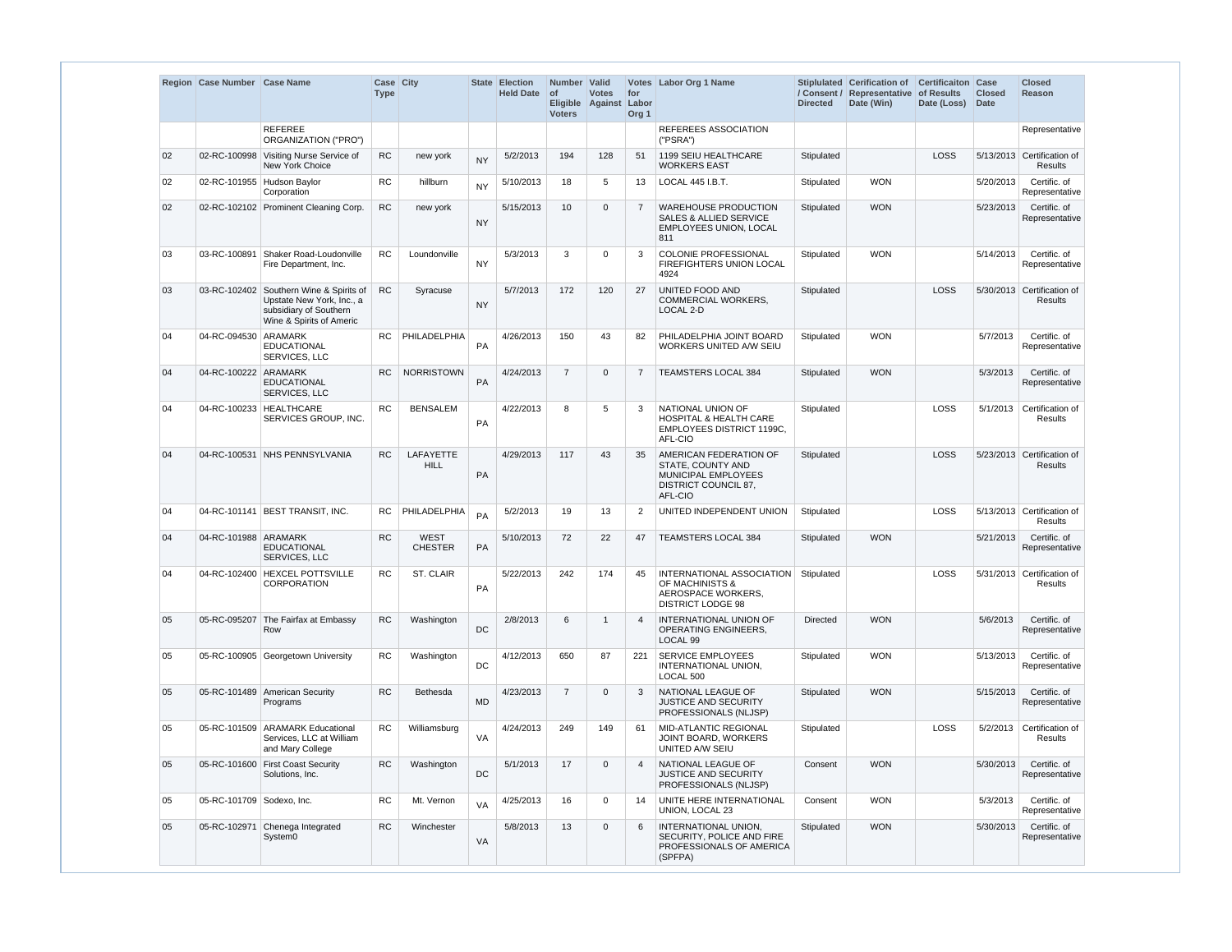|    | Region Case Number Case Name |                                                                                                                            | Case City<br><b>Type</b> |                               |           | State Election<br><b>Held Date</b> | Number Valid<br>of<br><b>Voters</b> | <b>Votes</b><br>Eligible Against Labor | for<br>Org <sub>1</sub> | Votes Labor Org 1 Name                                                                                    | <b>Directed</b> | Stiplulated Cerification of<br>/ Consent / Representative of Results<br>Date (Win) | <b>Certificaiton</b><br>Date (Loss) | Case<br><b>Closed</b><br><b>Date</b> | <b>Closed</b><br>Reason                      |
|----|------------------------------|----------------------------------------------------------------------------------------------------------------------------|--------------------------|-------------------------------|-----------|------------------------------------|-------------------------------------|----------------------------------------|-------------------------|-----------------------------------------------------------------------------------------------------------|-----------------|------------------------------------------------------------------------------------|-------------------------------------|--------------------------------------|----------------------------------------------|
|    |                              | <b>REFEREE</b><br>ORGANIZATION ("PRO")                                                                                     |                          |                               |           |                                    |                                     |                                        |                         | REFEREES ASSOCIATION<br>("PSRA")                                                                          |                 |                                                                                    |                                     |                                      | Representative                               |
| 02 |                              | 02-RC-100998 Visiting Nurse Service of<br><b>New York Choice</b>                                                           | <b>RC</b>                | new york                      | <b>NY</b> | 5/2/2013                           | 194                                 | 128                                    | 51                      | 1199 SEIU HEALTHCARE<br><b>WORKERS EAST</b>                                                               | Stipulated      |                                                                                    | LOSS                                |                                      | 5/13/2013 Certification of<br><b>Results</b> |
| 02 |                              | 02-RC-101955 Hudson Baylor<br>Corporation                                                                                  | <b>RC</b>                | hillburn                      | <b>NY</b> | 5/10/2013                          | 18                                  | 5                                      | 13                      | LOCAL 445 I.B.T.                                                                                          | Stipulated      | <b>WON</b>                                                                         |                                     | 5/20/2013                            | Certific. of<br>Representative               |
| 02 |                              | 02-RC-102102 Prominent Cleaning Corp.                                                                                      | <b>RC</b>                | new york                      | <b>NY</b> | 5/15/2013                          | 10                                  | $\mathbf 0$                            | $\overline{7}$          | <b>WAREHOUSE PRODUCTION</b><br><b>SALES &amp; ALLIED SERVICE</b><br>EMPLOYEES UNION, LOCAL<br>811         | Stipulated      | <b>WON</b>                                                                         |                                     | 5/23/2013                            | Certific. of<br>Representative               |
| 03 |                              | 03-RC-100891 Shaker Road-Loudonville<br>Fire Department, Inc.                                                              | <b>RC</b>                | Loundonville                  | <b>NY</b> | 5/3/2013                           | 3                                   | $\Omega$                               | 3                       | <b>COLONIE PROFESSIONAL</b><br>FIREFIGHTERS UNION LOCAL<br>4924                                           | Stipulated      | <b>WON</b>                                                                         |                                     | 5/14/2013                            | Certific. of<br>Representative               |
| 03 |                              | 03-RC-102402 Southern Wine & Spirits of<br>Upstate New York, Inc., a<br>subsidiary of Southern<br>Wine & Spirits of Americ | <b>RC</b>                | Syracuse                      | <b>NY</b> | 5/7/2013                           | 172                                 | 120                                    | 27                      | UNITED FOOD AND<br>COMMERCIAL WORKERS,<br>LOCAL 2-D                                                       | Stipulated      |                                                                                    | LOSS                                |                                      | 5/30/2013 Certification of<br><b>Results</b> |
| 04 | 04-RC-094530 ARAMARK         | <b>EDUCATIONAL</b><br>SERVICES, LLC                                                                                        | RC.                      | PHILADELPHIA                  | <b>PA</b> | 4/26/2013                          | 150                                 | 43                                     | 82                      | PHILADELPHIA JOINT BOARD<br>WORKERS UNITED A/W SEIU                                                       | Stipulated      | <b>WON</b>                                                                         |                                     | 5/7/2013                             | Certific. of<br>Representative               |
| 04 | 04-RC-100222 ARAMARK         | <b>EDUCATIONAL</b><br>SERVICES, LLC                                                                                        | <b>RC</b>                | <b>NORRISTOWN</b>             | PA        | 4/24/2013                          | $\overline{7}$                      | $\mathbf 0$                            | $\overline{7}$          | <b>TEAMSTERS LOCAL 384</b>                                                                                | Stipulated      | <b>WON</b>                                                                         |                                     | 5/3/2013                             | Certific. of<br>Representative               |
| 04 |                              | 04-RC-100233 HEALTHCARE<br>SERVICES GROUP, INC.                                                                            | <b>RC</b>                | <b>BENSALEM</b>               | PA        | 4/22/2013                          | 8                                   | 5                                      | 3                       | NATIONAL UNION OF<br><b>HOSPITAL &amp; HEALTH CARE</b><br>EMPLOYEES DISTRICT 1199C.<br>AFL-CIO            | Stipulated      |                                                                                    | LOSS                                | 5/1/2013                             | Certification of<br>Results                  |
| 04 |                              | 04-RC-100531 NHS PENNSYLVANIA                                                                                              | <b>RC</b>                | LAFAYETTE<br><b>HILL</b>      | PA        | 4/29/2013                          | 117                                 | 43                                     | 35                      | AMERICAN FEDERATION OF<br>STATE, COUNTY AND<br>MUNICIPAL EMPLOYEES<br>DISTRICT COUNCIL 87,<br>AFL-CIO     | Stipulated      |                                                                                    | <b>LOSS</b>                         |                                      | 5/23/2013 Certification of<br>Results        |
| 04 |                              | 04-RC-101141 BEST TRANSIT, INC.                                                                                            | RC.                      | PHILADELPHIA                  | PA        | 5/2/2013                           | 19                                  | 13                                     | 2                       | UNITED INDEPENDENT UNION                                                                                  | Stipulated      |                                                                                    | LOSS                                |                                      | 5/13/2013 Certification of<br><b>Results</b> |
| 04 | 04-RC-101988 ARAMARK         | <b>EDUCATIONAL</b><br>SERVICES, LLC                                                                                        | <b>RC</b>                | <b>WEST</b><br><b>CHESTER</b> | <b>PA</b> | 5/10/2013                          | 72                                  | 22                                     | 47                      | <b>TEAMSTERS LOCAL 384</b>                                                                                | Stipulated      | <b>WON</b>                                                                         |                                     | 5/21/2013                            | Certific. of<br>Representative               |
| 04 |                              | 04-RC-102400   HEXCEL POTTSVILLE<br>CORPORATION                                                                            | RC.                      | <b>ST. CLAIR</b>              | PA        | 5/22/2013                          | 242                                 | 174                                    | 45                      | INTERNATIONAL ASSOCIATION Stipulated<br>OF MACHINISTS &<br>AEROSPACE WORKERS.<br><b>DISTRICT LODGE 98</b> |                 |                                                                                    | LOSS                                |                                      | 5/31/2013 Certification of<br><b>Results</b> |
| 05 |                              | 05-RC-095207 The Fairfax at Embassy<br>Row                                                                                 | <b>RC</b>                | Washington                    | DC        | 2/8/2013                           | 6                                   | $\overline{1}$                         | $\overline{4}$          | INTERNATIONAL UNION OF<br>OPERATING ENGINEERS,<br>LOCAL <sub>99</sub>                                     | Directed        | <b>WON</b>                                                                         |                                     | 5/6/2013                             | Certific. of<br>Representative               |
| 05 |                              | 05-RC-100905 Georgetown University                                                                                         | <b>RC</b>                | Washington                    | DC        | 4/12/2013                          | 650                                 | 87                                     | 221                     | <b>SERVICE EMPLOYEES</b><br>INTERNATIONAL UNION,<br>LOCAL 500                                             | Stipulated      | <b>WON</b>                                                                         |                                     | 5/13/2013                            | Certific. of<br>Representative               |
| 05 |                              | 05-RC-101489 American Security<br>Programs                                                                                 | <b>RC</b>                | <b>Bethesda</b>               | <b>MD</b> | 4/23/2013                          | $\overline{7}$                      | $\mathbf 0$                            | 3                       | NATIONAL LEAGUE OF<br><b>JUSTICE AND SECURITY</b><br>PROFESSIONALS (NLJSP)                                | Stipulated      | <b>WON</b>                                                                         |                                     | 5/15/2013                            | Certific. of<br>Representative               |
| 05 |                              | 05-RC-101509 ARAMARK Educational<br>Services, LLC at William<br>and Mary College                                           | RC                       | Williamsburg                  | VA        | 4/24/2013                          | 249                                 | 149                                    | 61                      | MID-ATLANTIC REGIONAL<br>JOINT BOARD, WORKERS<br>UNITED A/W SEIU                                          | Stipulated      |                                                                                    | LOSS                                |                                      | 5/2/2013 Certification of<br><b>Results</b>  |
| 05 |                              | 05-RC-101600 First Coast Security<br>Solutions, Inc.                                                                       | <b>RC</b>                | Washington                    | DC        | 5/1/2013                           | 17                                  | $\mathbf 0$                            | $\overline{4}$          | NATIONAL LEAGUE OF<br><b>JUSTICE AND SECURITY</b><br>PROFESSIONALS (NLJSP)                                | Consent         | <b>WON</b>                                                                         |                                     | 5/30/2013                            | Certific. of<br>Representative               |
| 05 | 05-RC-101709 Sodexo, Inc.    |                                                                                                                            | <b>RC</b>                | Mt. Vernon                    | VA        | 4/25/2013                          | 16                                  | 0                                      | 14                      | UNITE HERE INTERNATIONAL<br>UNION, LOCAL 23                                                               | Consent         | <b>WON</b>                                                                         |                                     | 5/3/2013                             | Certific. of<br>Representative               |
| 05 |                              | 05-RC-102971 Chenega Integrated<br>System0                                                                                 | <b>RC</b>                | Winchester                    | VA        | 5/8/2013                           | 13                                  | $\mathbf 0$                            | 6                       | INTERNATIONAL UNION.<br>SECURITY, POLICE AND FIRE<br>PROFESSIONALS OF AMERICA<br>(SPFPA)                  | Stipulated      | <b>WON</b>                                                                         |                                     | 5/30/2013                            | Certific. of<br>Representative               |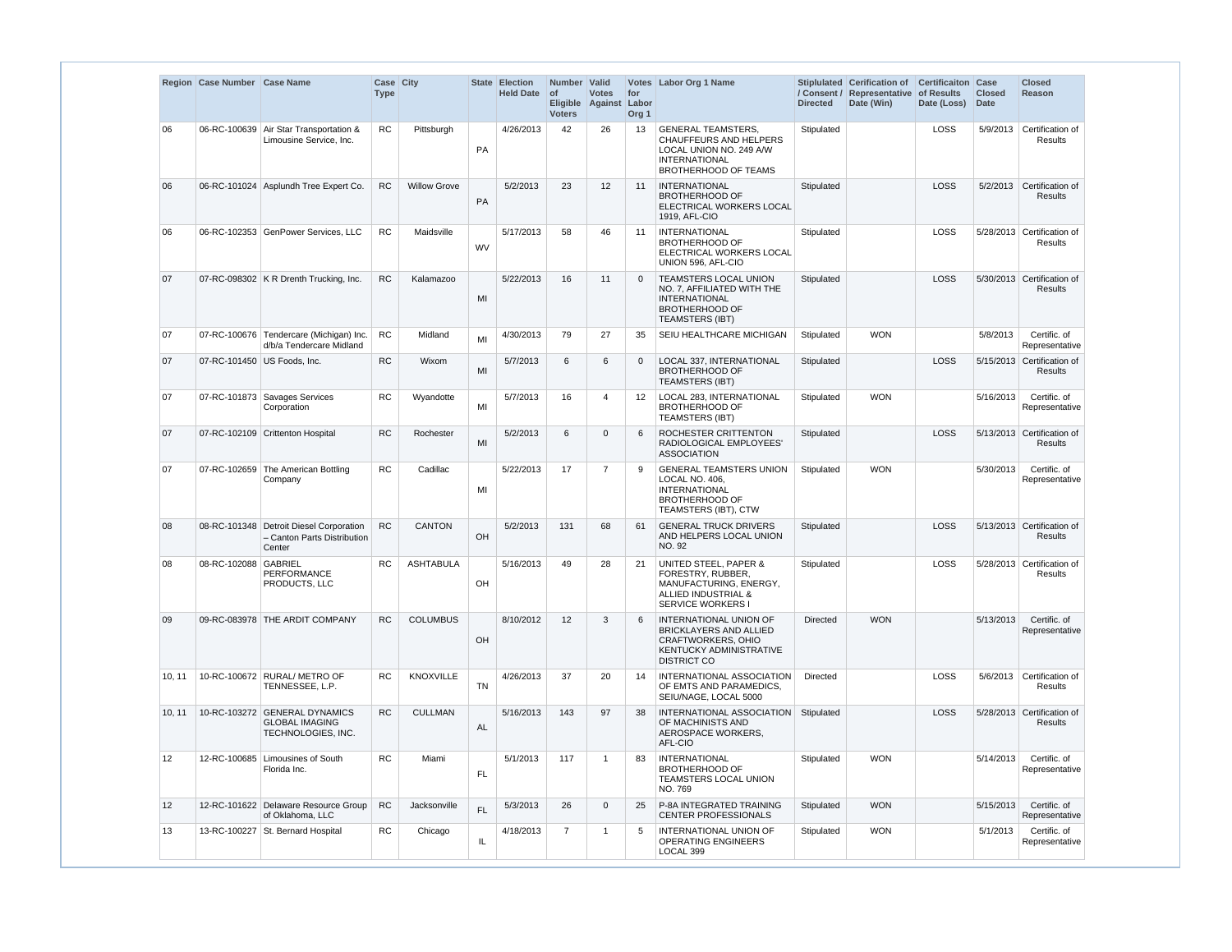|                 | Region Case Number Case Name |                                                                                  | Case City<br><b>Type</b> |                     |           | State Election<br><b>Held Date</b> | Number Valid<br>∣ of<br><b>Voters</b> | <b>Votes</b><br>Eligible Against Labor | for<br>Org <sub>1</sub> | Votes Labor Org 1 Name                                                                                                                       | / Consent /<br><b>Directed</b> | Stiplulated Cerification of Certificaiton Case<br>Representative of Results<br>Date (Win) | Date (Loss) | <b>Closed</b><br><b>Date</b> | <b>Closed</b><br><b>Reason</b>          |
|-----------------|------------------------------|----------------------------------------------------------------------------------|--------------------------|---------------------|-----------|------------------------------------|---------------------------------------|----------------------------------------|-------------------------|----------------------------------------------------------------------------------------------------------------------------------------------|--------------------------------|-------------------------------------------------------------------------------------------|-------------|------------------------------|-----------------------------------------|
| 06              |                              | 06-RC-100639 Air Star Transportation &<br>Limousine Service, Inc.                | <b>RC</b>                | Pittsburgh          | PA        | 4/26/2013                          | 42                                    | 26                                     | 13                      | <b>GENERAL TEAMSTERS,</b><br><b>CHAUFFEURS AND HELPERS</b><br>LOCAL UNION NO. 249 A/W<br><b>INTERNATIONAL</b><br><b>BROTHERHOOD OF TEAMS</b> | Stipulated                     |                                                                                           | <b>LOSS</b> | 5/9/2013                     | Certification of<br><b>Results</b>      |
| 06              |                              | 06-RC-101024 Asplundh Tree Expert Co.                                            | RC                       | <b>Willow Grove</b> | PA        | 5/2/2013                           | 23                                    | 12                                     | 11                      | <b>INTERNATIONAL</b><br><b>BROTHERHOOD OF</b><br>ELECTRICAL WORKERS LOCAL<br>1919, AFL-CIO                                                   | Stipulated                     |                                                                                           | <b>LOSS</b> |                              | 5/2/2013 Certification of<br>Results    |
| 06              |                              | 06-RC-102353 GenPower Services, LLC                                              | <b>RC</b>                | Maidsville          | <b>WV</b> | 5/17/2013                          | 58                                    | 46                                     | 11                      | <b>INTERNATIONAL</b><br><b>BROTHERHOOD OF</b><br>ELECTRICAL WORKERS LOCAL<br>UNION 596, AFL-CIO                                              | Stipulated                     |                                                                                           | <b>LOSS</b> |                              | 5/28/2013 Certification of<br>Results   |
| 07              |                              | 07-RC-098302 K R Drenth Trucking, Inc.                                           | <b>RC</b>                | Kalamazoo           | MI        | 5/22/2013                          | 16                                    | 11                                     | $\Omega$                | TEAMSTERS LOCAL UNION<br>NO. 7, AFFILIATED WITH THE<br><b>INTERNATIONAL</b><br><b>BROTHERHOOD OF</b><br><b>TEAMSTERS (IBT)</b>               | Stipulated                     |                                                                                           | LOSS        |                              | 5/30/2013 Certification of<br>Results   |
| 07              |                              | 07-RC-100676 Tendercare (Michigan) Inc.<br>d/b/a Tendercare Midland              | <b>RC</b>                | Midland             | MI        | 4/30/2013                          | 79                                    | 27                                     | 35                      | SEIU HEALTHCARE MICHIGAN                                                                                                                     | Stipulated                     | <b>WON</b>                                                                                |             | 5/8/2013                     | Certific. of<br>Representative          |
| 07              | 07-RC-101450 US Foods, Inc.  |                                                                                  | <b>RC</b>                | Wixom               | MI        | 5/7/2013                           | 6                                     | 6                                      | $\overline{0}$          | LOCAL 337, INTERNATIONAL<br><b>BROTHERHOOD OF</b><br><b>TEAMSTERS (IBT)</b>                                                                  | Stipulated                     |                                                                                           | LOSS        |                              | 5/15/2013 Certification of<br>Results   |
| 07              |                              | 07-RC-101873 Savages Services<br>Corporation                                     | <b>RC</b>                | Wyandotte           | MI        | 5/7/2013                           | 16                                    | 4                                      | 12 <sup>2</sup>         | LOCAL 283, INTERNATIONAL<br><b>BROTHERHOOD OF</b><br><b>TEAMSTERS (IBT)</b>                                                                  | Stipulated                     | <b>WON</b>                                                                                |             | 5/16/2013                    | Certific. of<br>Representative          |
| 07              |                              | 07-RC-102109 Crittenton Hospital                                                 | <b>RC</b>                | Rochester           | MI        | 5/2/2013                           | 6                                     | $\mathbf{0}$                           | 6                       | ROCHESTER CRITTENTON<br>RADIOLOGICAL EMPLOYEES'<br><b>ASSOCIATION</b>                                                                        | Stipulated                     |                                                                                           | LOSS        |                              | 5/13/2013 Certification of<br>Results   |
| 07              |                              | 07-RC-102659 The American Bottling<br>Company                                    | RC                       | Cadillac            | MI        | 5/22/2013                          | 17                                    | $\overline{7}$                         | 9                       | <b>GENERAL TEAMSTERS UNION</b><br>LOCAL NO. 406,<br><b>INTERNATIONAL</b><br><b>BROTHERHOOD OF</b><br>TEAMSTERS (IBT), CTW                    | Stipulated                     | <b>WON</b>                                                                                |             | 5/30/2013                    | Certific. of<br>Representative          |
| 08              |                              | 08-RC-101348 Detroit Diesel Corporation<br>- Canton Parts Distribution<br>Center | <b>RC</b>                | <b>CANTON</b>       | OH        | 5/2/2013                           | 131                                   | 68                                     | 61                      | <b>GENERAL TRUCK DRIVERS</b><br>AND HELPERS LOCAL UNION<br><b>NO. 92</b>                                                                     | Stipulated                     |                                                                                           | <b>LOSS</b> |                              | 5/13/2013 Certification of<br>Results   |
| 08              | 08-RC-102088 GABRIEL         | <b>PERFORMANCE</b><br>PRODUCTS, LLC                                              |                          | ASHTABULA           | OH        | 5/16/2013                          | 49                                    | 28                                     | 21                      | UNITED STEEL, PAPER &<br>FORESTRY, RUBBER,<br>MANUFACTURING, ENERGY,<br><b>ALLIED INDUSTRIAL &amp;</b><br><b>SERVICE WORKERS I</b>           | Stipulated                     |                                                                                           | LOSS        |                              | 5/28/2013   Certification of<br>Results |
| 09              |                              | 09-RC-083978 THE ARDIT COMPANY                                                   | RC                       | <b>COLUMBUS</b>     | OH        | 8/10/2012                          | 12                                    | 3                                      | 6                       | INTERNATIONAL UNION OF<br><b>BRICKLAYERS AND ALLIED</b><br><b>CRAFTWORKERS, OHIO</b><br>KENTUCKY ADMINISTRATIVE<br><b>DISTRICT CO</b>        | Directed                       | <b>WON</b>                                                                                |             | 5/13/2013                    | Certific. of<br>Representative          |
| 10, 11          |                              | 10-RC-100672 RURAL/ METRO OF<br>TENNESSEE, L.P.                                  | <b>RC</b>                | KNOXVILLE           | <b>TN</b> | 4/26/2013                          | 37                                    | 20                                     | 14                      | INTERNATIONAL ASSOCIATION<br>OF EMTS AND PARAMEDICS.<br>SEIU/NAGE, LOCAL 5000                                                                | Directed                       |                                                                                           | <b>LOSS</b> |                              | 5/6/2013 Certification of<br>Results    |
| 10, 11          |                              | 10-RC-103272 GENERAL DYNAMICS<br><b>GLOBAL IMAGING</b><br>TECHNOLOGIES, INC.     | <b>RC</b>                | <b>CULLMAN</b>      | <b>AL</b> | 5/16/2013                          | 143                                   | 97                                     | 38                      | INTERNATIONAL ASSOCIATION<br>OF MACHINISTS AND<br>AEROSPACE WORKERS,<br>AFL-CIO                                                              | Stipulated                     |                                                                                           | <b>LOSS</b> |                              | 5/28/2013 Certification of<br>Results   |
| 12 <sup>°</sup> |                              | 12-RC-100685 Limousines of South<br>Florida Inc.                                 | <b>RC</b>                | Miami               | <b>FL</b> | 5/1/2013                           | 117                                   | $\mathbf{1}$                           | 83                      | <b>INTERNATIONAL</b><br><b>BROTHERHOOD OF</b><br><b>TEAMSTERS LOCAL UNION</b><br>NO. 769                                                     | Stipulated                     | <b>WON</b>                                                                                |             | 5/14/2013                    | Certific. of<br>Representative          |
| 12              |                              | 12-RC-101622 Delaware Resource Group<br>of Oklahoma, LLC                         | <b>RC</b>                | Jacksonville        | FL        | 5/3/2013                           | 26                                    | $\mathbf 0$                            | 25                      | P-8A INTEGRATED TRAINING<br><b>CENTER PROFESSIONALS</b>                                                                                      | Stipulated                     | <b>WON</b>                                                                                |             | 5/15/2013                    | Certific. of<br>Representative          |
| 13              |                              | 13-RC-100227 St. Bernard Hospital                                                | <b>RC</b>                | Chicago             | IL.       | 4/18/2013                          | $\overline{7}$                        | -1                                     | 5                       | INTERNATIONAL UNION OF<br><b>OPERATING ENGINEERS</b><br>LOCAL 399                                                                            | Stipulated                     | <b>WON</b>                                                                                |             | 5/1/2013                     | Certific. of<br>Representative          |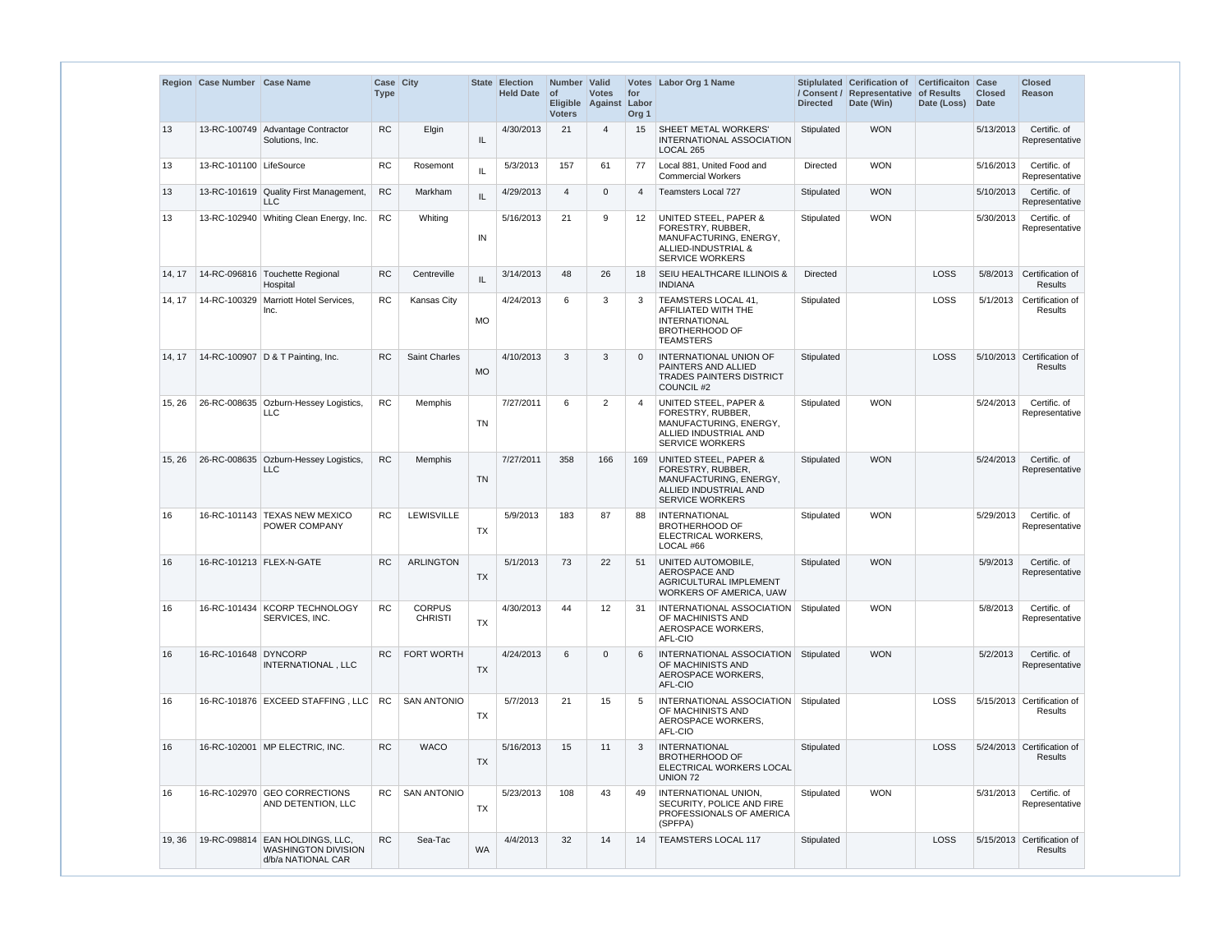|        | Region Case Number Case Name    |                                                                              | Case City<br><b>Type</b> |                                 |           | State Election<br><b>Held Date</b> | Number Valid<br>$\circ$ f<br><b>Voters</b> | <b>Votes</b><br>Eligible Against Labor | for<br>Org <sub>1</sub> | Votes Labor Org 1 Name                                                                                                             | <b>Directed</b> | Stiplulated Cerification of<br>/ Consent / Representative of Results<br>Date (Win) | <b>Certificaiton Case</b><br>Date (Loss) | <b>Closed</b><br><b>Date</b> | <b>Closed</b><br>Reason                      |
|--------|---------------------------------|------------------------------------------------------------------------------|--------------------------|---------------------------------|-----------|------------------------------------|--------------------------------------------|----------------------------------------|-------------------------|------------------------------------------------------------------------------------------------------------------------------------|-----------------|------------------------------------------------------------------------------------|------------------------------------------|------------------------------|----------------------------------------------|
| 13     |                                 | 13-RC-100749 Advantage Contractor<br>Solutions, Inc.                         | <b>RC</b>                | Elgin                           | IL        | 4/30/2013                          | 21                                         | 4                                      | 15                      | <b>SHEET METAL WORKERS'</b><br>INTERNATIONAL ASSOCIATION<br>LOCAL 265                                                              | Stipulated      | <b>WON</b>                                                                         |                                          | 5/13/2013                    | Certific. of<br>Representative               |
| 13     | 13-RC-101100 LifeSource         |                                                                              | <b>RC</b>                | Rosemont                        | IL        | 5/3/2013                           | 157                                        | 61                                     | 77                      | Local 881, United Food and<br><b>Commercial Workers</b>                                                                            | Directed        | <b>WON</b>                                                                         |                                          | 5/16/2013                    | Certific. of<br>Representative               |
| 13     |                                 | 13-RC-101619 Quality First Management,<br><b>LLC</b>                         | <b>RC</b>                | Markham                         | IL        | 4/29/2013                          | $\overline{4}$                             | $\mathbf{0}$                           | 4                       | <b>Teamsters Local 727</b>                                                                                                         | Stipulated      | <b>WON</b>                                                                         |                                          | 5/10/2013                    | Certific. of<br>Representative               |
| 13     |                                 | 13-RC-102940 Whiting Clean Energy, Inc.                                      | <b>RC</b>                | Whiting                         | IN        | 5/16/2013                          | 21                                         | 9                                      | $12 \overline{ }$       | <b>UNITED STEEL, PAPER &amp;</b><br>FORESTRY, RUBBER,<br>MANUFACTURING, ENERGY,<br>ALLIED-INDUSTRIAL &<br><b>SERVICE WORKERS</b>   | Stipulated      | <b>WON</b>                                                                         |                                          | 5/30/2013                    | Certific. of<br>Representative               |
| 14, 17 |                                 | 14-RC-096816   Touchette Regional<br>Hospital                                | <b>RC</b>                | Centreville                     | IL        | 3/14/2013                          | 48                                         | 26                                     | 18                      | SEIU HEALTHCARE ILLINOIS &<br><b>INDIANA</b>                                                                                       | <b>Directed</b> |                                                                                    | LOSS                                     |                              | 5/8/2013 Certification of<br><b>Results</b>  |
| 14, 17 |                                 | 14-RC-100329 Marriott Hotel Services,<br>Inc.                                | <b>RC</b>                | <b>Kansas City</b>              | <b>MO</b> | 4/24/2013                          | 6                                          | 3                                      | 3                       | TEAMSTERS LOCAL 41,<br>AFFILIATED WITH THE<br><b>INTERNATIONAL</b><br><b>BROTHERHOOD OF</b><br><b>TEAMSTERS</b>                    | Stipulated      |                                                                                    | LOSS                                     |                              | 5/1/2013 Certification of<br>Results         |
| 14, 17 |                                 | 14-RC-100907 D & T Painting, Inc.                                            | <b>RC</b>                | Saint Charles                   | <b>MO</b> | 4/10/2013                          | 3                                          | 3                                      | $\Omega$                | INTERNATIONAL UNION OF<br>PAINTERS AND ALLIED<br><b>TRADES PAINTERS DISTRICT</b><br>COUNCIL #2                                     | Stipulated      |                                                                                    | LOSS                                     |                              | 5/10/2013 Certification of<br><b>Results</b> |
| 15, 26 |                                 | 26-RC-008635 Ozburn-Hessey Logistics,<br><b>LLC</b>                          | <b>RC</b>                | Memphis                         | <b>TN</b> | 7/27/2011                          | 6                                          | 2                                      | 4                       | UNITED STEEL, PAPER &<br>FORESTRY, RUBBER,<br>MANUFACTURING, ENERGY,<br>ALLIED INDUSTRIAL AND<br><b>SERVICE WORKERS</b>            | Stipulated      | <b>WON</b>                                                                         |                                          | 5/24/2013                    | Certific. of<br>Representative               |
| 15, 26 |                                 | 26-RC-008635 Ozburn-Hessey Logistics,<br><b>LLC</b>                          | <b>RC</b>                | <b>Memphis</b>                  | <b>TN</b> | 7/27/2011                          | 358                                        | 166                                    | 169                     | <b>UNITED STEEL, PAPER &amp;</b><br>FORESTRY, RUBBER,<br>MANUFACTURING, ENERGY,<br>ALLIED INDUSTRIAL AND<br><b>SERVICE WORKERS</b> | Stipulated      | <b>WON</b>                                                                         |                                          | 5/24/2013                    | Certific, of<br>Representative               |
| 16     |                                 | 16-RC-101143 TEXAS NEW MEXICO<br>POWER COMPANY                               | <b>RC</b>                | LEWISVILLE                      | TX        | 5/9/2013                           | 183                                        | 87                                     | 88                      | <b>INTERNATIONAL</b><br><b>BROTHERHOOD OF</b><br>ELECTRICAL WORKERS,<br>LOCAL #66                                                  | Stipulated      | <b>WON</b>                                                                         |                                          | 5/29/2013                    | Certific. of<br>Representative               |
|        | 16   16-RC-101213   FLEX-N-GATE |                                                                              |                          | RC   ARLINGTON                  | <b>TX</b> | 5/1/2013                           | 73                                         |                                        |                         | 22   51   UNITED AUTOMOBILE,<br>AEROSPACE AND<br>AGRICULTURAL IMPLEMENT<br><b>WORKERS OF AMERICA, UAW</b>                          | Stipulated      | <b>WON</b>                                                                         |                                          |                              | 5/9/2013 Certific. of<br>Representative      |
| 16     |                                 | 16-RC-101434 KCORP TECHNOLOGY<br>SERVICES, INC.                              | <b>RC</b>                | <b>CORPUS</b><br><b>CHRISTI</b> | <b>TX</b> | 4/30/2013                          | 44                                         | 12                                     | -31                     | INTERNATIONAL ASSOCIATION Stipulated<br>OF MACHINISTS AND<br>AEROSPACE WORKERS,<br>AFL-CIO                                         |                 | <b>WON</b>                                                                         |                                          | 5/8/2013                     | Certific. of<br>Representative               |
| 16     | 16-RC-101648 DYNCORP            | INTERNATIONAL, LLC                                                           | RC.                      | FORT WORTH                      | <b>TX</b> | 4/24/2013                          | 6                                          | $\mathbf{0}$                           | 6                       | INTERNATIONAL ASSOCIATION<br>OF MACHINISTS AND<br>AEROSPACE WORKERS,<br>AFL-CIO                                                    | Stipulated      | <b>WON</b>                                                                         |                                          | 5/2/2013                     | Certific. of<br>Representative               |
| 16     |                                 | 16-RC-101876 EXCEED STAFFING, LLC                                            | RC.                      | <b>SAN ANTONIO</b>              | TX        | 5/7/2013                           | 21                                         | 15                                     | 5                       | INTERNATIONAL ASSOCIATION Stipulated<br>OF MACHINISTS AND<br>AEROSPACE WORKERS,<br>AFL-CIO                                         |                 |                                                                                    | <b>LOSS</b>                              |                              | 5/15/2013 Certification of<br><b>Results</b> |
| 16     |                                 | 16-RC-102001 MP ELECTRIC, INC.                                               | <b>RC</b>                | <b>WACO</b>                     | <b>TX</b> | 5/16/2013                          | 15                                         | 11                                     | 3                       | <b>INTERNATIONAL</b><br><b>BROTHERHOOD OF</b><br>ELECTRICAL WORKERS LOCAL<br>UNION 72                                              | Stipulated      |                                                                                    | <b>LOSS</b>                              |                              | 5/24/2013 Certification of<br><b>Results</b> |
| 16     |                                 | 16-RC-102970 GEO CORRECTIONS<br>AND DETENTION, LLC                           | RC.                      | SAN ANTONIO                     | TX        | 5/23/2013                          | 108                                        | 43                                     | 49                      | INTERNATIONAL UNION,<br>SECURITY, POLICE AND FIRE<br>PROFESSIONALS OF AMERICA<br>(SPFPA)                                           | Stipulated      | <b>WON</b>                                                                         |                                          | 5/31/2013                    | Certific. of<br>Representative               |
| 19, 36 |                                 | 19-RC-098814 EAN HOLDINGS, LLC,<br>WASHINGTON DIVISION<br>d/b/a NATIONAL CAR | <b>RC</b>                | Sea-Tac                         | WA        | 4/4/2013                           | 32                                         | 14                                     | 14                      | <b>TEAMSTERS LOCAL 117</b>                                                                                                         | Stipulated      |                                                                                    | <b>LOSS</b>                              |                              | 5/15/2013 Certification of<br>Results        |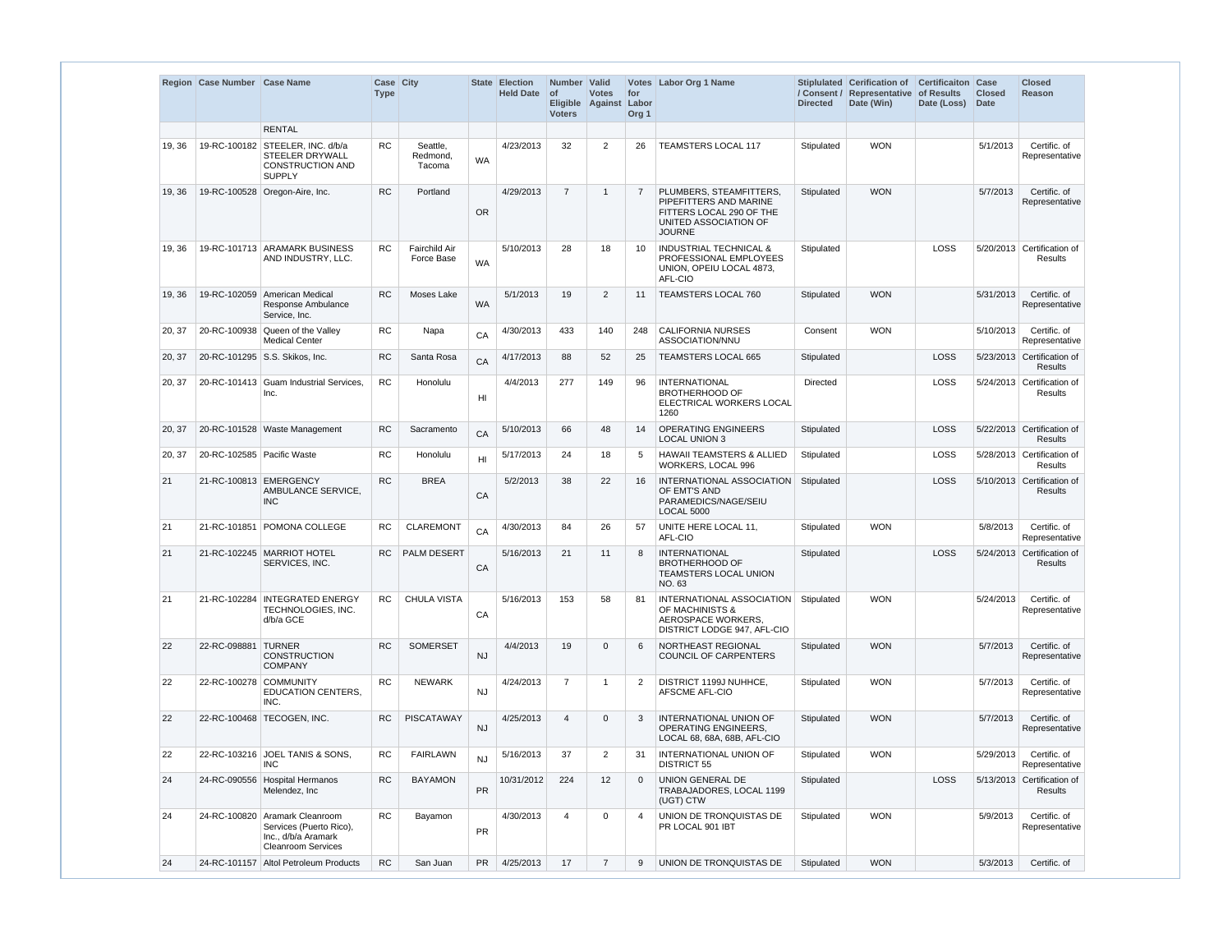|        | Region Case Number Case Name |                                                                                                               | Case City<br><b>Type</b> |                                    |           | State Election<br><b>Held Date</b> | Number Valid<br><b>of</b><br><b>Voters</b> | <b>Votes</b><br>Eligible Against Labor | for<br>Org <sub>1</sub> | Votes Labor Org 1 Name                                                                                                  | <b>Directed</b> | Stiplulated Cerification of<br>/ Consent / Representative of Results<br>Date (Win) | <b>Certificaiton</b><br>Date (Loss) | Case<br><b>Closed</b><br><b>Date</b> | <b>Closed</b><br>Reason                      |
|--------|------------------------------|---------------------------------------------------------------------------------------------------------------|--------------------------|------------------------------------|-----------|------------------------------------|--------------------------------------------|----------------------------------------|-------------------------|-------------------------------------------------------------------------------------------------------------------------|-----------------|------------------------------------------------------------------------------------|-------------------------------------|--------------------------------------|----------------------------------------------|
|        |                              | <b>RENTAL</b>                                                                                                 |                          |                                    |           |                                    |                                            |                                        |                         |                                                                                                                         |                 |                                                                                    |                                     |                                      |                                              |
| 19, 36 | 19-RC-100182                 | STEELER. INC. d/b/a<br>STEELER DRYWALL<br><b>CONSTRUCTION AND</b><br><b>SUPPLY</b>                            | <b>RC</b>                | Seattle,<br>Redmond.<br>Tacoma     | <b>WA</b> | 4/23/2013                          | 32                                         | 2                                      | 26                      | <b>TEAMSTERS LOCAL 117</b>                                                                                              | Stipulated      | <b>WON</b>                                                                         |                                     | 5/1/2013                             | Certific. of<br>Representative               |
| 19, 36 |                              | 19-RC-100528 Oregon-Aire, Inc.                                                                                | <b>RC</b>                | Portland                           | OR        | 4/29/2013                          | $\overline{7}$                             | $\mathbf{1}$                           | 7                       | PLUMBERS, STEAMFITTERS,<br>PIPEFITTERS AND MARINE<br>FITTERS LOCAL 290 OF THE<br>UNITED ASSOCIATION OF<br><b>JOURNE</b> | Stipulated      | <b>WON</b>                                                                         |                                     | 5/7/2013                             | Certific. of<br>Representative               |
| 19, 36 |                              | 19-RC-101713 ARAMARK BUSINESS<br>AND INDUSTRY, LLC.                                                           | RC.                      | <b>Fairchild Air</b><br>Force Base | <b>WA</b> | 5/10/2013                          | 28                                         | 18                                     | 10                      | <b>INDUSTRIAL TECHNICAL &amp;</b><br>PROFESSIONAL EMPLOYEES<br>UNION, OPEIU LOCAL 4873,<br>AFL-CIO                      | Stipulated      |                                                                                    | LOSS                                |                                      | 5/20/2013 Certification of<br>Results        |
| 19, 36 | 19-RC-102059                 | <b>American Medical</b><br>Response Ambulance<br>Service, Inc.                                                | <b>RC</b>                | Moses Lake                         | <b>WA</b> | 5/1/2013                           | 19                                         | 2                                      | 11                      | <b>TEAMSTERS LOCAL 760</b>                                                                                              | Stipulated      | <b>WON</b>                                                                         |                                     | 5/31/2013                            | Certific. of<br>Representative               |
| 20, 37 |                              | 20-RC-100938 Queen of the Valley<br><b>Medical Center</b>                                                     | <b>RC</b>                | Napa                               | CA        | 4/30/2013                          | 433                                        | 140                                    | 248                     | <b>CALIFORNIA NURSES</b><br>ASSOCIATION/NNU                                                                             | Consent         | <b>WON</b>                                                                         |                                     | 5/10/2013                            | Certific. of<br>Representative               |
| 20, 37 |                              | 20-RC-101295 S.S. Skikos, Inc.                                                                                | <b>RC</b>                | Santa Rosa                         | CA        | 4/17/2013                          | 88                                         | 52                                     | 25                      | TEAMSTERS LOCAL 665                                                                                                     | Stipulated      |                                                                                    | LOSS                                |                                      | 5/23/2013 Certification of<br>Results        |
| 20, 37 |                              | 20-RC-101413 Guam Industrial Services<br>Inc.                                                                 | RC.                      | <b>Honolulu</b>                    | HI        | 4/4/2013                           | 277                                        | 149                                    | 96                      | INTERNATIONAL<br><b>BROTHERHOOD OF</b><br>ELECTRICAL WORKERS LOCAL<br>1260                                              | Directed        |                                                                                    | LOSS                                |                                      | 5/24/2013 Certification of<br>Results        |
| 20, 37 |                              | 20-RC-101528 Waste Management                                                                                 | <b>RC</b>                | Sacramento                         | CA        | 5/10/2013                          | 66                                         | 48                                     | 14                      | <b>OPERATING ENGINEERS</b><br><b>LOCAL UNION 3</b>                                                                      | Stipulated      |                                                                                    | LOSS                                |                                      | 5/22/2013 Certification of<br>Results        |
| 20, 37 | 20-RC-102585 Pacific Waste   |                                                                                                               | <b>RC</b>                | Honolulu                           | HI        | 5/17/2013                          | 24                                         | 18                                     | 5                       | <b>HAWAII TEAMSTERS &amp; ALLIED</b><br>WORKERS, LOCAL 996                                                              | Stipulated      |                                                                                    | LOSS                                |                                      | 5/28/2013 Certification of<br>Results        |
| 21     | 21-RC-100813                 | <b>EMERGENCY</b><br>AMBULANCE SERVICE,<br><b>INC</b>                                                          | RC                       | <b>BREA</b>                        | CA        | 5/2/2013                           | 38                                         | 22                                     | 16                      | INTERNATIONAL ASSOCIATION<br>OF EMT'S AND<br>PARAMEDICS/NAGE/SEIU<br>LOCAL 5000                                         | Stipulated      |                                                                                    | LOSS                                |                                      | 5/10/2013 Certification of<br>Results        |
| 21     | 21-RC-101851                 | POMONA COLLEGE                                                                                                | RC.                      | <b>CLAREMONT</b>                   | CA        | 4/30/2013                          | 84                                         | 26                                     | 57                      | UNITE HERE LOCAL 11,<br>AFL-CIO                                                                                         | Stipulated      | <b>WON</b>                                                                         |                                     | 5/8/2013                             | Certific. of<br>Representative               |
| 21     |                              | 21-RC-102245   MARRIOT HOTEL<br>SERVICES, INC.                                                                | RC.                      | PALM DESERT                        | CA        | 5/16/2013                          | 21                                         | 11                                     | 8                       | <b>INTERNATIONAL</b><br><b>BROTHERHOOD OF</b><br><b>TEAMSTERS LOCAL UNION</b><br>NO. 63                                 | Stipulated      |                                                                                    | LOSS                                |                                      | 5/24/2013 Certification of<br>Results        |
| 21     |                              | 21-RC-102284 INTEGRATED ENERGY<br>TECHNOLOGIES, INC.<br>d/b/a GCE                                             | RC.                      | <b>CHULA VISTA</b>                 | CA        | 5/16/2013                          | 153                                        | 58                                     | 81                      | INTERNATIONAL ASSOCIATION Stipulated<br>OF MACHINISTS &<br>AEROSPACE WORKERS.<br>DISTRICT LODGE 947, AFL-CIO            |                 | <b>WON</b>                                                                         |                                     | 5/24/2013                            | Certific. of<br>Representative               |
| 22     | 22-RC-098881 TURNER          | <b>CONSTRUCTION</b><br><b>COMPANY</b>                                                                         | RC.                      | <b>SOMERSET</b>                    | <b>NJ</b> | 4/4/2013                           | 19                                         | $\mathbf{0}$                           | 6                       | NORTHEAST REGIONAL<br>COUNCIL OF CARPENTERS                                                                             | Stipulated      | <b>WON</b>                                                                         |                                     | 5/7/2013                             | Certific. of<br>Representative               |
| 22     | 22-RC-100278 COMMUNITY       | <b>EDUCATION CENTERS.</b><br>INC.                                                                             | <b>RC</b>                | <b>NEWARK</b>                      | <b>NJ</b> | 4/24/2013                          | $\overline{7}$                             | $\mathbf{1}$                           | 2                       | DISTRICT 1199J NUHHCE,<br>AFSCME AFL-CIO                                                                                | Stipulated      | <b>WON</b>                                                                         |                                     | 5/7/2013                             | Certific. of<br>Representative               |
| 22     |                              | 22-RC-100468 TECOGEN, INC.                                                                                    | RC.                      | PISCATAWAY                         | <b>NJ</b> | 4/25/2013                          | $\overline{4}$                             | $\mathbf{0}$                           | 3                       | INTERNATIONAL UNION OF<br>OPERATING ENGINEERS,<br>LOCAL 68, 68A, 68B, AFL-CIO                                           | Stipulated      | <b>WON</b>                                                                         |                                     | 5/7/2013                             | Certific. of<br>Representative               |
| 22     |                              | 22-RC-103216 JOEL TANIS & SONS,<br><b>INC</b>                                                                 | RC                       | <b>FAIRLAWN</b>                    | <b>NJ</b> | 5/16/2013                          | 37                                         | $\overline{2}$                         | 31                      | INTERNATIONAL UNION OF<br><b>DISTRICT 55</b>                                                                            | Stipulated      | <b>WON</b>                                                                         |                                     | 5/29/2013                            | Certific. of<br>Representative               |
| 24     |                              | 24-RC-090556   Hospital Hermanos<br>Melendez, Inc.                                                            | <b>RC</b>                | <b>BAYAMON</b>                     | <b>PR</b> | 10/31/2012                         | 224                                        | 12                                     | $\Omega$                | <b>UNION GENERAL DE</b><br>TRABAJADORES, LOCAL 1199<br>(UGT) CTW                                                        | Stipulated      |                                                                                    | LOSS                                |                                      | 5/13/2013 Certification of<br><b>Results</b> |
| 24     |                              | 24-RC-100820 Aramark Cleanroom<br>Services (Puerto Rico),<br>Inc., d/b/a Aramark<br><b>Cleanroom Services</b> | <b>RC</b>                | Bayamon                            | PR        | 4/30/2013                          | 4                                          | 0                                      | 4                       | UNION DE TRONQUISTAS DE<br>PR LOCAL 901 IBT                                                                             | Stipulated      | <b>WON</b>                                                                         |                                     | 5/9/2013                             | Certific. of<br>Representative               |
| 24     |                              | 24-RC-101157 Altol Petroleum Products                                                                         | <b>RC</b>                | San Juan                           | <b>PR</b> | 4/25/2013                          | 17                                         | $\overline{7}$                         | 9                       | UNION DE TRONQUISTAS DE                                                                                                 | Stipulated      | <b>WON</b>                                                                         |                                     | 5/3/2013                             | Certific. of                                 |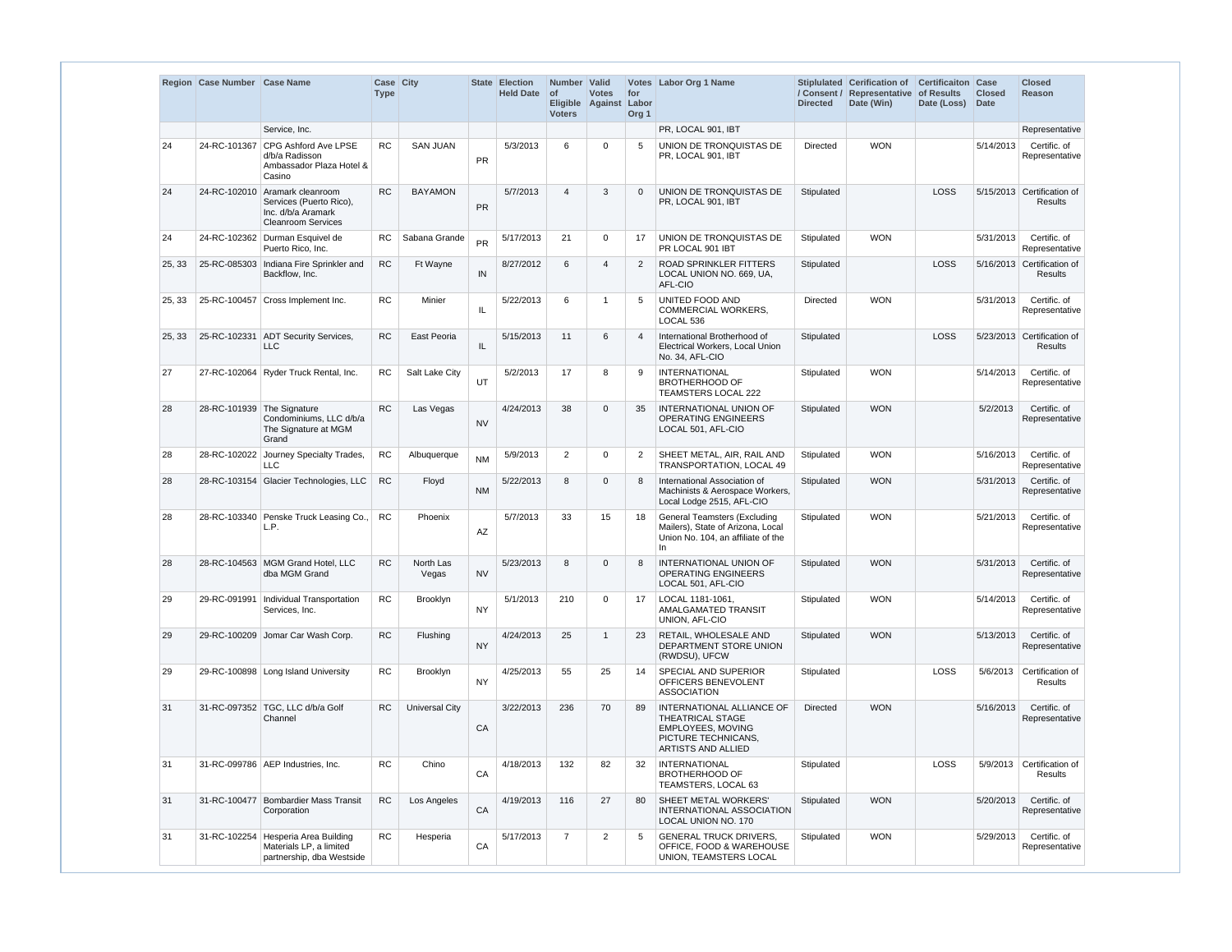|        | Region Case Number Case Name |                                                                                                              | Case City<br><b>Type</b> |                    |           | State Election<br><b>Held Date</b> | Number Valid<br>$\circ$<br><b>Voters</b> | <b>Votes</b><br>Eligible Against Labor | for<br>Org <sub>1</sub> | Votes Labor Org 1 Name                                                                                                | <b>Directed</b> | Stiplulated Cerification of<br>/ Consent / Representative of Results<br>Date (Win) | <b>Certificaiton Case</b><br>Date (Loss) | <b>Closed</b><br><b>Date</b> | <b>Closed</b><br>Reason                      |
|--------|------------------------------|--------------------------------------------------------------------------------------------------------------|--------------------------|--------------------|-----------|------------------------------------|------------------------------------------|----------------------------------------|-------------------------|-----------------------------------------------------------------------------------------------------------------------|-----------------|------------------------------------------------------------------------------------|------------------------------------------|------------------------------|----------------------------------------------|
|        |                              | Service, Inc.                                                                                                |                          |                    |           |                                    |                                          |                                        |                         | PR, LOCAL 901, IBT                                                                                                    |                 |                                                                                    |                                          |                              | Representative                               |
| 24     |                              | 24-RC-101367 CPG Ashford Ave LPSE<br>d/b/a Radisson<br>Ambassador Plaza Hotel &<br>Casino                    | <b>RC</b>                | <b>SAN JUAN</b>    | <b>PR</b> | 5/3/2013                           | 6                                        | 0                                      | 5                       | UNION DE TRONQUISTAS DE<br>PR, LOCAL 901, IBT                                                                         | Directed        | <b>WON</b>                                                                         |                                          | 5/14/2013                    | Certific. of<br>Representative               |
| 24     |                              | 24-RC-102010 Aramark cleanroom<br>Services (Puerto Rico),<br>Inc. d/b/a Aramark<br><b>Cleanroom Services</b> | <b>RC</b>                | <b>BAYAMON</b>     | <b>PR</b> | 5/7/2013                           | $\overline{4}$                           | 3                                      | $\mathbf{0}$            | UNION DE TRONQUISTAS DE<br>PR, LOCAL 901, IBT                                                                         | Stipulated      |                                                                                    | LOSS                                     |                              | 5/15/2013 Certification of<br><b>Results</b> |
| 24     |                              | 24-RC-102362 Durman Esquivel de<br>Puerto Rico, Inc.                                                         | RC.                      | Sabana Grande      | <b>PR</b> | 5/17/2013                          | 21                                       | 0                                      | 17                      | UNION DE TRONQUISTAS DE<br>PR LOCAL 901 IBT                                                                           | Stipulated      | <b>WON</b>                                                                         |                                          | 5/31/2013                    | Certific. of<br>Representative               |
| 25, 33 |                              | 25-RC-085303 Indiana Fire Sprinkler and<br>Backflow, Inc.                                                    | <b>RC</b>                | Ft Wayne           | IN        | 8/27/2012                          | 6                                        | 4                                      | $\overline{2}$          | <b>ROAD SPRINKLER FITTERS</b><br>LOCAL UNION NO. 669, UA,<br>AFL-CIO                                                  | Stipulated      |                                                                                    | LOSS                                     |                              | 5/16/2013 Certification of<br><b>Results</b> |
| 25, 33 |                              | 25-RC-100457 Cross Implement Inc.                                                                            | <b>RC</b>                | Minier             | IL        | 5/22/2013                          | 6                                        | $\mathbf 1$                            | 5                       | <b>UNITED FOOD AND</b><br><b>COMMERCIAL WORKERS.</b><br>LOCAL 536                                                     | Directed        | <b>WON</b>                                                                         |                                          | 5/31/2013                    | Certific. of<br>Representative               |
| 25, 33 | 25-RC-102331                 | <b>ADT Security Services,</b><br><b>LLC</b>                                                                  | <b>RC</b>                | East Peoria        | IL.       | 5/15/2013                          | 11                                       | 6                                      | 4                       | International Brotherhood of<br>Electrical Workers, Local Union<br>No. 34, AFL-CIO                                    | Stipulated      |                                                                                    | LOSS                                     |                              | 5/23/2013 Certification of<br><b>Results</b> |
| 27     |                              | 27-RC-102064 Ryder Truck Rental, Inc.                                                                        | <b>RC</b>                | Salt Lake City     | <b>UT</b> | 5/2/2013                           | 17                                       | 8                                      | 9                       | <b>INTERNATIONAL</b><br><b>BROTHERHOOD OF</b><br>TEAMSTERS LOCAL 222                                                  | Stipulated      | <b>WON</b>                                                                         |                                          | 5/14/2013                    | Certific. of<br>Representative               |
| 28     | 28-RC-101939 The Signature   | Condominiums, LLC d/b/a<br>The Signature at MGM<br>Grand                                                     | <b>RC</b>                | Las Vegas          | <b>NV</b> | 4/24/2013                          | 38                                       | $\mathbf{0}$                           | 35                      | INTERNATIONAL UNION OF<br><b>OPERATING ENGINEERS</b><br>LOCAL 501, AFL-CIO                                            | Stipulated      | <b>WON</b>                                                                         |                                          | 5/2/2013                     | Certific. of<br>Representative               |
| 28     | 28-RC-102022                 | Journey Specialty Trades,<br><b>LLC</b>                                                                      | <b>RC</b>                | Albuquerque        | <b>NM</b> | 5/9/2013                           | 2                                        | 0                                      | $\overline{2}$          | SHEET METAL, AIR, RAIL AND<br>TRANSPORTATION, LOCAL 49                                                                | Stipulated      | <b>WON</b>                                                                         |                                          | 5/16/2013                    | Certific. of<br>Representative               |
| 28     |                              | 28-RC-103154 Glacier Technologies, LLC                                                                       | <b>RC</b>                | Floyd              | <b>NM</b> | 5/22/2013                          | 8                                        | $\mathbf{0}$                           | 8                       | International Association of<br>Machinists & Aerospace Workers,<br>Local Lodge 2515, AFL-CIO                          | Stipulated      | <b>WON</b>                                                                         |                                          | 5/31/2013                    | Certific. of<br>Representative               |
| 28     | 28-RC-103340                 | Penske Truck Leasing Co.,<br>L.P.                                                                            | RC                       | Phoenix            | AZ        | 5/7/2013                           | 33                                       | 15                                     | 18                      | <b>General Teamsters (Excluding</b><br>Mailers), State of Arizona, Local<br>Union No. 104, an affiliate of the<br>In. | Stipulated      | <b>WON</b>                                                                         |                                          | 5/21/2013                    | Certific. of<br>Representative               |
| 28     |                              | 28-RC-104563 MGM Grand Hotel, LLC<br>dba MGM Grand                                                           | RC                       | North Las<br>Vegas | <b>NV</b> | 5/23/2013                          | 8                                        | $\overline{0}$                         | 8 <sup>8</sup>          | INTERNATIONAL UNION OF Stipulated WON<br><b>OPERATING ENGINEERS</b><br>LOCAL 501, AFL-CIO                             |                 |                                                                                    |                                          |                              | $ 5/31/2013 $ Certific. of<br>Representative |
| 29     | 29-RC-091991                 | Individual Transportation<br>Services, Inc.                                                                  | <b>RC</b>                | Brooklyn           | <b>NY</b> | 5/1/2013                           | 210                                      | 0                                      | 17                      | LOCAL 1181-1061.<br>AMALGAMATED TRANSIT<br>UNION, AFL-CIO                                                             | Stipulated      | <b>WON</b>                                                                         |                                          | 5/14/2013                    | Certific. of<br>Representative               |
| 29     |                              | 29-RC-100209 Jomar Car Wash Corp.                                                                            | <b>RC</b>                | Flushing           | <b>NY</b> | 4/24/2013                          | 25                                       | $\mathbf{1}$                           | 23                      | RETAIL, WHOLESALE AND<br>DEPARTMENT STORE UNION<br>(RWDSU), UFCW                                                      | Stipulated      | <b>WON</b>                                                                         |                                          | 5/13/2013                    | Certific. of<br>Representative               |
| 29     |                              | 29-RC-100898 Long Island University                                                                          | <b>RC</b>                | Brooklyn           | <b>NY</b> | 4/25/2013                          | 55                                       | 25                                     | 14                      | SPECIAL AND SUPERIOR<br>OFFICERS BENEVOLENT<br><b>ASSOCIATION</b>                                                     | Stipulated      |                                                                                    | LOSS                                     |                              | 5/6/2013 Certification of<br>Results         |
| 31     |                              | 31-RC-097352 TGC, LLC d/b/a Golf<br>Channel                                                                  | <b>RC</b>                | Universal City     | CA        | 3/22/2013                          | 236                                      | 70                                     | 89                      | INTERNATIONAL ALLIANCE OF<br>THEATRICAL STAGE<br>EMPLOYEES, MOVING<br>PICTURE TECHNICANS,<br>ARTISTS AND ALLIED       | <b>Directed</b> | <b>WON</b>                                                                         |                                          | 5/16/2013                    | Certific. of<br>Representative               |
| 31     |                              | 31-RC-099786 AEP Industries, Inc.                                                                            | <b>RC</b>                | Chino              | CA        | 4/18/2013                          | 132                                      | 82                                     | 32                      | <b>INTERNATIONAL</b><br><b>BROTHERHOOD OF</b><br>TEAMSTERS, LOCAL 63                                                  | Stipulated      |                                                                                    | LOSS                                     |                              | 5/9/2013 Certification of<br>Results         |
| 31     |                              | 31-RC-100477 Bombardier Mass Transit<br>Corporation                                                          | <b>RC</b>                | Los Angeles        | CA        | 4/19/2013                          | 116                                      | 27                                     | 80                      | SHEET METAL WORKERS'<br>INTERNATIONAL ASSOCIATION<br>LOCAL UNION NO. 170                                              | Stipulated      | <b>WON</b>                                                                         |                                          | 5/20/2013                    | Certific. of<br>Representative               |
| 31     |                              | 31-RC-102254 Hesperia Area Building<br>Materials LP, a limited<br>partnership, dba Westside                  | <b>RC</b>                | Hesperia           | CA        | 5/17/2013                          | $\overline{7}$                           | $\overline{2}$                         | 5                       | <b>GENERAL TRUCK DRIVERS,</b><br>OFFICE, FOOD & WAREHOUSE<br>UNION, TEAMSTERS LOCAL                                   | Stipulated      | <b>WON</b>                                                                         |                                          | 5/29/2013                    | Certific. of<br>Representative               |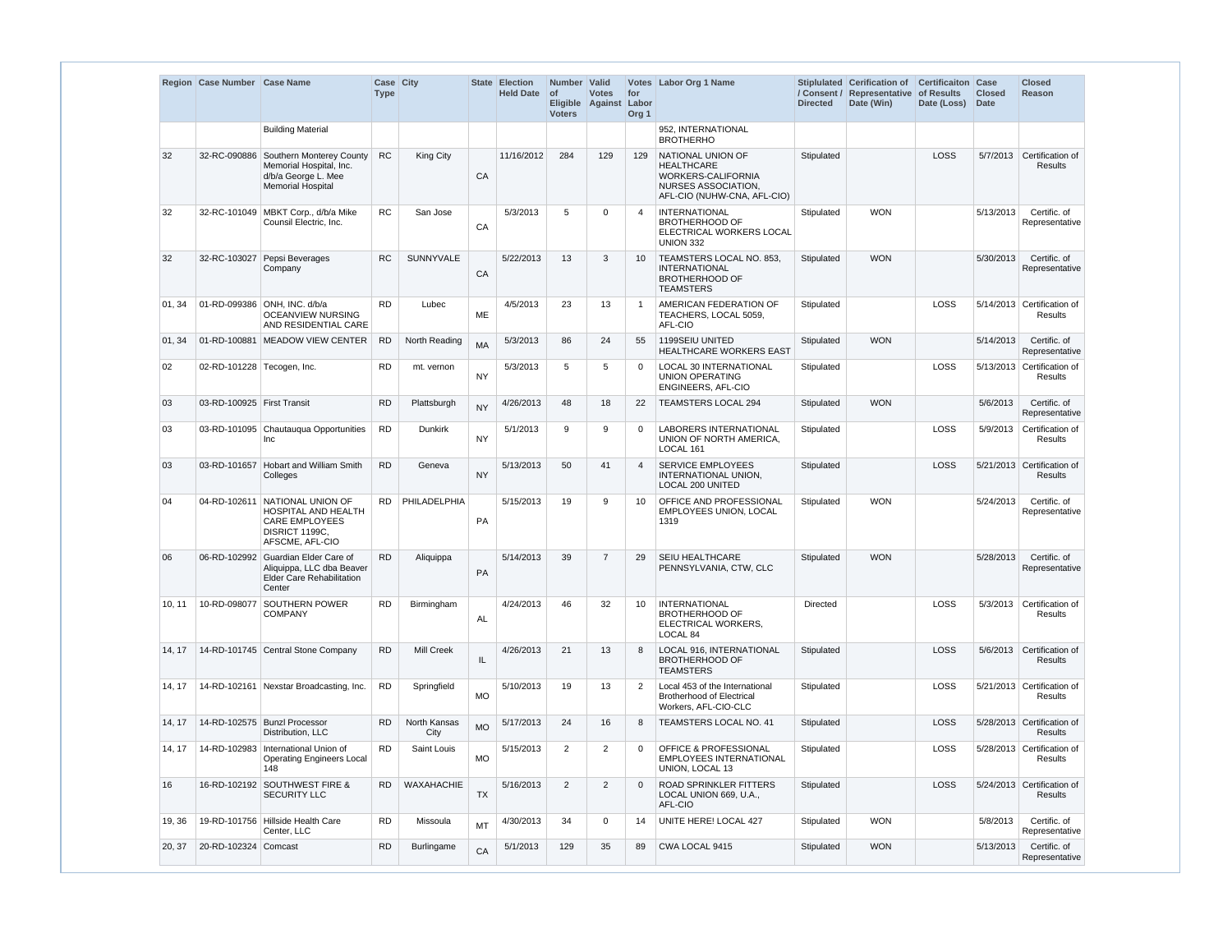|        | Region Case Number Case Name |                                                                                                                     | Case City<br><b>Type</b> |                      |           | State Election<br><b>Held Date</b> | Number Valid<br>$ $ of<br><b>Voters</b> | <b>Votes</b><br>Eligible Against Labor | for<br>Org <sub>1</sub> | Votes Labor Org 1 Name                                                                                             | <b>Directed</b> | Stiplulated Cerification of<br>/ Consent / Representative of Results<br>Date (Win) | <b>Certificaiton Case</b><br>Date (Loss) | <b>Closed</b><br><b>Date</b> | <b>Closed</b><br>Reason                      |
|--------|------------------------------|---------------------------------------------------------------------------------------------------------------------|--------------------------|----------------------|-----------|------------------------------------|-----------------------------------------|----------------------------------------|-------------------------|--------------------------------------------------------------------------------------------------------------------|-----------------|------------------------------------------------------------------------------------|------------------------------------------|------------------------------|----------------------------------------------|
|        |                              | <b>Building Material</b>                                                                                            |                          |                      |           |                                    |                                         |                                        |                         | 952. INTERNATIONAL<br><b>BROTHERHO</b>                                                                             |                 |                                                                                    |                                          |                              |                                              |
| 32     |                              | 32-RC-090886 Southern Monterey County<br>Memorial Hospital, Inc.<br>d/b/a George L. Mee<br><b>Memorial Hospital</b> | <b>RC</b>                | King City            | CA        | 11/16/2012                         | 284                                     | 129                                    | 129                     | NATIONAL UNION OF<br><b>HEALTHCARE</b><br>WORKERS-CALIFORNIA<br>NURSES ASSOCIATION.<br>AFL-CIO (NUHW-CNA, AFL-CIO) | Stipulated      |                                                                                    | LOSS                                     | 5/7/2013                     | Certification of<br><b>Results</b>           |
| 32     |                              | 32-RC-101049 MBKT Corp., d/b/a Mike<br>Counsil Electric, Inc.                                                       | <b>RC</b>                | San Jose             | CA        | 5/3/2013                           | 5                                       | $\mathbf 0$                            | 4                       | <b>INTERNATIONAL</b><br><b>BROTHERHOOD OF</b><br>ELECTRICAL WORKERS LOCAL<br><b>UNION 332</b>                      | Stipulated      | <b>WON</b>                                                                         |                                          | 5/13/2013                    | Certific. of<br>Representative               |
| 32     | 32-RC-103027                 | Pepsi Beverages<br>Company                                                                                          | <b>RC</b>                | <b>SUNNYVALE</b>     | CA        | 5/22/2013                          | 13                                      | 3                                      | 10                      | TEAMSTERS LOCAL NO. 853,<br><b>INTERNATIONAL</b><br><b>BROTHERHOOD OF</b><br><b>TEAMSTERS</b>                      | Stipulated      | <b>WON</b>                                                                         |                                          | 5/30/2013                    | Certific. of<br>Representative               |
| 01, 34 |                              | 01-RD-099386 ONH, INC. d/b/a<br><b>OCEANVIEW NURSING</b><br>AND RESIDENTIAL CARE                                    | <b>RD</b>                | Lubec                | <b>ME</b> | 4/5/2013                           | 23                                      | 13                                     |                         | AMERICAN FEDERATION OF<br>TEACHERS, LOCAL 5059,<br>AFL-CIO                                                         | Stipulated      |                                                                                    | <b>LOSS</b>                              |                              | 5/14/2013 Certification of<br>Results        |
| 01, 34 |                              | 01-RD-100881 MEADOW VIEW CENTER                                                                                     | <b>RD</b>                | North Reading        | <b>MA</b> | 5/3/2013                           | 86                                      | 24                                     | 55                      | 1199SEIU UNITED<br><b>HEALTHCARE WORKERS EAST</b>                                                                  | Stipulated      | <b>WON</b>                                                                         |                                          | 5/14/2013                    | Certific. of<br>Representative               |
| 02     | 02-RD-101228 Tecogen, Inc.   |                                                                                                                     | <b>RD</b>                | mt. vernon           | <b>NY</b> | 5/3/2013                           | 5                                       | 5                                      | $\Omega$                | LOCAL 30 INTERNATIONAL<br><b>UNION OPERATING</b><br>ENGINEERS, AFL-CIO                                             | Stipulated      |                                                                                    | LOSS                                     |                              | 5/13/2013 Certification of<br>Results        |
| 03     | 03-RD-100925 First Transit   |                                                                                                                     | <b>RD</b>                | Plattsburgh          | <b>NY</b> | 4/26/2013                          | 48                                      | 18                                     | 22                      | <b>TEAMSTERS LOCAL 294</b>                                                                                         | Stipulated      | <b>WON</b>                                                                         |                                          | 5/6/2013                     | Certific. of<br>Representative               |
| 03     |                              | 03-RD-101095 Chautauqua Opportunities<br><b>Inc</b>                                                                 | <b>RD</b>                | <b>Dunkirk</b>       | <b>NY</b> | 5/1/2013                           | 9                                       | 9                                      | 0                       | <b>LABORERS INTERNATIONAL</b><br>UNION OF NORTH AMERICA.<br>LOCAL 161                                              | Stipulated      |                                                                                    | LOSS                                     | 5/9/2013                     | Certification of<br>Results                  |
| 03     |                              | 03-RD-101657 Hobart and William Smith<br>Colleges                                                                   | <b>RD</b>                | Geneva               | <b>NY</b> | 5/13/2013                          | 50                                      | 41                                     | 4                       | <b>SERVICE EMPLOYEES</b><br>INTERNATIONAL UNION,<br><b>LOCAL 200 UNITED</b>                                        | Stipulated      |                                                                                    | LOSS                                     |                              | 5/21/2013 Certification of<br><b>Results</b> |
| 04     |                              | 04-RD-102611 NATIONAL UNION OF<br>HOSPITAL AND HEALTH<br><b>CARE EMPLOYEES</b><br>DISRICT 1199C.<br>AFSCME, AFL-CIO | RD.                      | PHILADELPHIA         | PA        | 5/15/2013                          | 19                                      | 9                                      | 10                      | OFFICE AND PROFESSIONAL<br>EMPLOYEES UNION, LOCAL<br>1319                                                          | Stipulated      | <b>WON</b>                                                                         |                                          | 5/24/2013                    | Certific. of<br>Representative               |
| 06     |                              | 06-RD-102992 Guardian Elder Care of<br>Aliquippa, LLC dba Beaver<br><b>Elder Care Rehabilitation</b><br>Center      | <b>RD</b>                | Aliquippa            | PA        | 5/14/2013                          | 39                                      | $\overline{7}$                         | 29                      | <b>SEIU HEALTHCARE</b><br>PENNSYLVANIA, CTW, CLC                                                                   | Stipulated      | <b>WON</b>                                                                         |                                          | 5/28/2013                    | Certific. of<br>Representative               |
| 10, 11 | 10-RD-098077                 | <b>SOUTHERN POWER</b><br><b>COMPANY</b>                                                                             | <b>RD</b>                | Birmingham           | AL        | 4/24/2013                          | 46                                      | 32                                     | 10                      | <b>INTERNATIONAL</b><br><b>BROTHERHOOD OF</b><br>ELECTRICAL WORKERS,<br>LOCAL 84                                   | <b>Directed</b> |                                                                                    | LOSS                                     |                              | 5/3/2013 Certification of<br>Results         |
| 14, 17 |                              | 14-RD-101745 Central Stone Company                                                                                  | <b>RD</b>                | <b>Mill Creek</b>    | IL        | 4/26/2013                          | 21                                      | 13                                     | 8                       | LOCAL 916, INTERNATIONAL<br><b>BROTHERHOOD OF</b><br><b>TEAMSTERS</b>                                              | Stipulated      |                                                                                    | LOSS                                     |                              | 5/6/2013 Certification of<br><b>Results</b>  |
| 14, 17 |                              | 14-RD-102161 Nexstar Broadcasting, Inc.                                                                             | <b>RD</b>                | Springfield          | <b>MO</b> | 5/10/2013                          | 19                                      | 13                                     | 2                       | Local 453 of the International<br><b>Brotherhood of Electrical</b><br>Workers, AFL-CIO-CLC                         | Stipulated      |                                                                                    | LOSS                                     |                              | 5/21/2013 Certification of<br>Results        |
| 14, 17 |                              | 14-RD-102575   Bunzl Processor<br>Distribution, LLC                                                                 | <b>RD</b>                | North Kansas<br>City | <b>MO</b> | 5/17/2013                          | 24                                      | 16                                     | 8                       | TEAMSTERS LOCAL NO. 41                                                                                             | Stipulated      |                                                                                    | LOSS                                     |                              | 5/28/2013 Certification of<br><b>Results</b> |
| 14, 17 |                              | 14-RD-102983 International Union of<br><b>Operating Engineers Local</b><br>148                                      | <b>RD</b>                | Saint Louis          | <b>MO</b> | 5/15/2013                          | $\overline{2}$                          | $\overline{2}$                         | 0                       | <b>OFFICE &amp; PROFESSIONAL</b><br><b>EMPLOYEES INTERNATIONAL</b><br>UNION, LOCAL 13                              | Stipulated      |                                                                                    | LOSS                                     |                              | 5/28/2013 Certification of<br>Results        |
| 16     |                              | 16-RD-102192 SOUTHWEST FIRE &<br><b>SECURITY LLC</b>                                                                | RD.                      | <b>WAXAHACHIE</b>    | <b>TX</b> | 5/16/2013                          | $\overline{2}$                          | $\overline{2}$                         | $\Omega$                | ROAD SPRINKLER FITTERS<br>LOCAL UNION 669, U.A.,<br>AFL-CIO                                                        | Stipulated      |                                                                                    | LOSS                                     |                              | 5/24/2013 Certification of<br>Results        |
| 19, 36 |                              | 19-RD-101756 Hillside Health Care<br>Center, LLC                                                                    | <b>RD</b>                | Missoula             | <b>MT</b> | 4/30/2013                          | 34                                      | 0                                      | 14                      | UNITE HERE! LOCAL 427                                                                                              | Stipulated      | <b>WON</b>                                                                         |                                          | 5/8/2013                     | Certific. of<br>Representative               |
| 20, 37 | 20-RD-102324 Comcast         |                                                                                                                     | <b>RD</b>                | Burlingame           | CA        | 5/1/2013                           | 129                                     | 35                                     | 89                      | CWA LOCAL 9415                                                                                                     | Stipulated      | <b>WON</b>                                                                         |                                          | 5/13/2013                    | Certific. of<br>Representative               |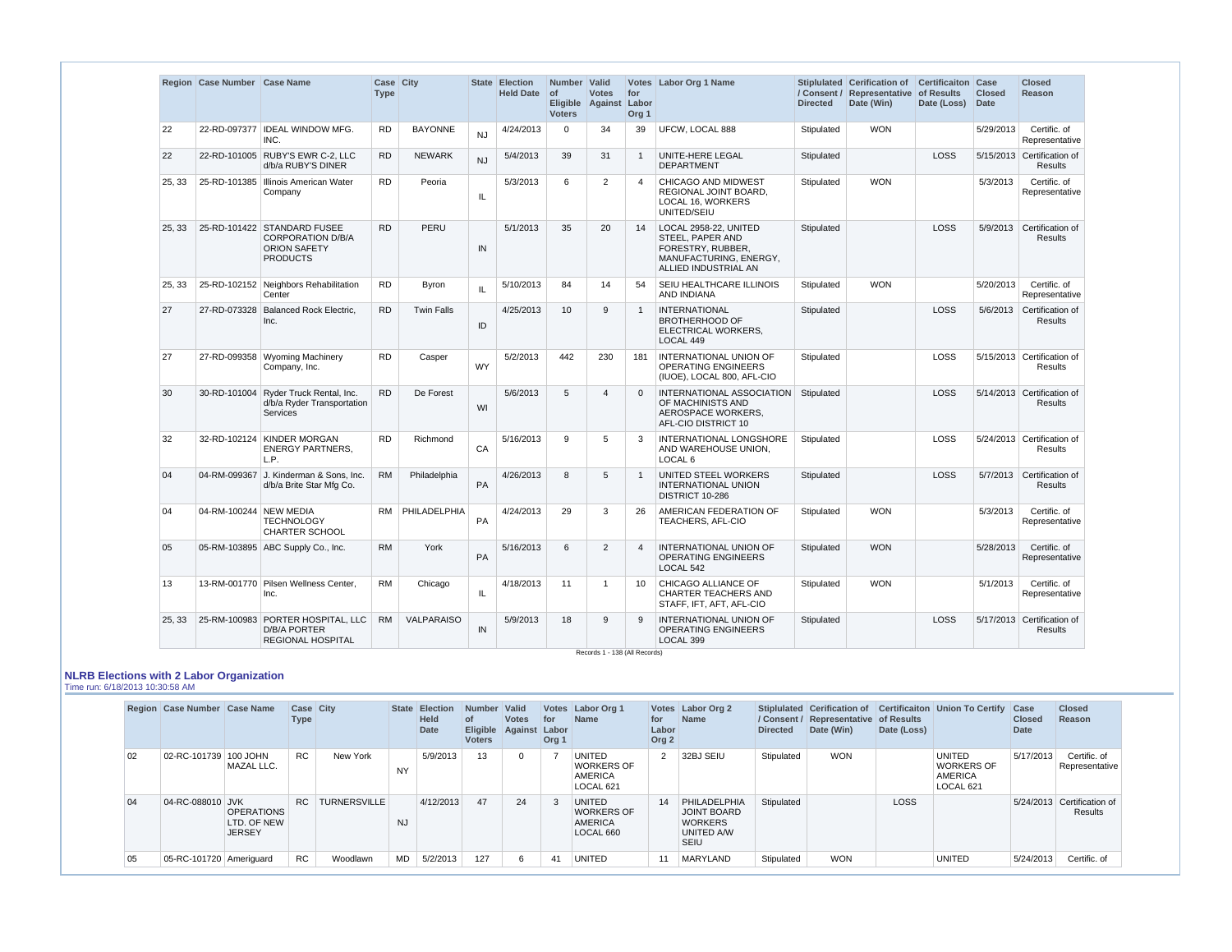|        | Region Case Number Case Name |                                                                                                   | Case City<br><b>Type</b> |                   |           | State Election<br><b>Held Date</b> | Number   Valid<br><b>of</b><br><b>Voters</b> | <b>Votes</b><br>Eligible Against Labor | for<br>Org <sub>1</sub> | Votes Labor Org 1 Name                                                                                           | <b>Directed</b> | Stiplulated Cerification of<br>/ Consent / Representative of Results<br>Date (Win) | <b>Certificaiton Case</b><br>Date (Loss) | <b>Closed</b><br>Date | <b>Closed</b><br><b>Reason</b>               |
|--------|------------------------------|---------------------------------------------------------------------------------------------------|--------------------------|-------------------|-----------|------------------------------------|----------------------------------------------|----------------------------------------|-------------------------|------------------------------------------------------------------------------------------------------------------|-----------------|------------------------------------------------------------------------------------|------------------------------------------|-----------------------|----------------------------------------------|
| 22     |                              | 22-RD-097377   IDEAL WINDOW MFG.<br>INC.                                                          | <b>RD</b>                | <b>BAYONNE</b>    | <b>NJ</b> | 4/24/2013                          | $\Omega$                                     | 34                                     | 39                      | UFCW, LOCAL 888                                                                                                  | Stipulated      | <b>WON</b>                                                                         |                                          | 5/29/2013             | Certific. of<br>Representative               |
| 22     |                              | 22-RD-101005 RUBY'S EWR C-2, LLC<br>d/b/a RUBY'S DINER                                            | <b>RD</b>                | <b>NEWARK</b>     | <b>NJ</b> | 5/4/2013                           | 39                                           | 31                                     | $\overline{1}$          | UNITE-HERE LEGAL<br><b>DEPARTMENT</b>                                                                            | Stipulated      |                                                                                    | LOSS                                     |                       | 5/15/2013 Certification of<br><b>Results</b> |
| 25, 33 |                              | 25-RD-101385   Illinois American Water<br>Company                                                 | <b>RD</b>                | Peoria            | IL        | 5/3/2013                           | 6                                            | 2                                      | $\boldsymbol{4}$        | CHICAGO AND MIDWEST<br>REGIONAL JOINT BOARD.<br>LOCAL 16, WORKERS<br>UNITED/SEIU                                 | Stipulated      | <b>WON</b>                                                                         |                                          | 5/3/2013              | Certific. of<br>Representative               |
| 25, 33 |                              | 25-RD-101422 STANDARD FUSEE<br><b>CORPORATION D/B/A</b><br><b>ORION SAFETY</b><br><b>PRODUCTS</b> | <b>RD</b>                | PERU              | IN        | 5/1/2013                           | 35                                           | 20                                     | 14                      | LOCAL 2958-22, UNITED<br>STEEL, PAPER AND<br>FORESTRY, RUBBER,<br>MANUFACTURING, ENERGY,<br>ALLIED INDUSTRIAL AN | Stipulated      |                                                                                    | LOSS                                     | 5/9/2013              | Certification of<br><b>Results</b>           |
| 25, 33 |                              | 25-RD-102152 Neighbors Rehabilitation<br>Center                                                   | <b>RD</b>                | <b>Byron</b>      | IL        | 5/10/2013                          | 84                                           | 14                                     | 54                      | SEIU HEALTHCARE ILLINOIS<br>AND INDIANA                                                                          | Stipulated      | <b>WON</b>                                                                         |                                          | 5/20/2013             | Certific. of<br>Representative               |
| 27     | 27-RD-073328                 | <b>Balanced Rock Electric,</b><br>Inc.                                                            | <b>RD</b>                | <b>Twin Falls</b> | ID        | 4/25/2013                          | 10                                           | 9                                      | $\overline{1}$          | <b>INTERNATIONAL</b><br><b>BROTHERHOOD OF</b><br>ELECTRICAL WORKERS,<br>LOCAL 449                                | Stipulated      |                                                                                    | LOSS                                     | 5/6/2013              | Certification of<br><b>Results</b>           |
| 27     |                              | 27-RD-099358 Wyoming Machinery<br>Company, Inc.                                                   | <b>RD</b>                | Casper            | <b>WY</b> | 5/2/2013                           | 442                                          | 230                                    | 181                     | INTERNATIONAL UNION OF<br><b>OPERATING ENGINEERS</b><br>(IUOE), LOCAL 800, AFL-CIO                               | Stipulated      |                                                                                    | LOSS                                     |                       | 5/15/2013 Certification of<br><b>Results</b> |
| 30     |                              | 30-RD-101004 Ryder Truck Rental, Inc.<br>d/b/a Ryder Transportation<br><b>Services</b>            | <b>RD</b>                | De Forest         | WI        | 5/6/2013                           | 5                                            | $\overline{4}$                         | $\Omega$                | INTERNATIONAL ASSOCIATION<br>OF MACHINISTS AND<br>AEROSPACE WORKERS,<br>AFL-CIO DISTRICT 10                      | Stipulated      |                                                                                    | <b>LOSS</b>                              |                       | 5/14/2013 Certification of<br><b>Results</b> |
| 32     |                              | 32-RD-102124 KINDER MORGAN<br><b>ENERGY PARTNERS,</b><br>L.P.                                     | <b>RD</b>                | Richmond          | CA        | 5/16/2013                          | 9                                            | 5                                      | 3                       | INTERNATIONAL LONGSHORE<br>AND WAREHOUSE UNION,<br>LOCAL <sub>6</sub>                                            | Stipulated      |                                                                                    | LOSS                                     |                       | 5/24/2013 Certification of<br>Results        |
| 04     |                              | 04-RM-099367 J. Kinderman & Sons, Inc.<br>d/b/a Brite Star Mfg Co.                                | <b>RM</b>                | Philadelphia      | PA        | 4/26/2013                          | 8                                            | 5                                      |                         | UNITED STEEL WORKERS<br><b>INTERNATIONAL UNION</b><br>DISTRICT 10-286                                            | Stipulated      |                                                                                    | LOSS                                     | 5/7/2013              | Certification of<br><b>Results</b>           |
| 04     | 04-RM-100244 NEW MEDIA       | <b>TECHNOLOGY</b><br><b>CHARTER SCHOOL</b>                                                        | RM                       | PHILADELPHIA      | PA        | 4/24/2013                          | 29                                           | 3                                      | 26                      | AMERICAN FEDERATION OF<br>TEACHERS, AFL-CIO                                                                      | Stipulated      | <b>WON</b>                                                                         |                                          | 5/3/2013              | Certific. of<br>Representative               |
| 05     |                              | 05-RM-103895 ABC Supply Co., Inc.                                                                 | <b>RM</b>                | York              | PA        | 5/16/2013                          | 6                                            | 2                                      | $\overline{4}$          | INTERNATIONAL UNION OF<br><b>OPERATING ENGINEERS</b><br>LOCAL 542                                                | Stipulated      | <b>WON</b>                                                                         |                                          | 5/28/2013             | Certific. of<br>Representative               |
| 13     |                              | 13-RM-001770 Pilsen Wellness Center,<br>Inc.                                                      | <b>RM</b>                | Chicago           | IL.       | 4/18/2013                          | 11                                           | $\overline{1}$                         | 10                      | CHICAGO ALLIANCE OF<br><b>CHARTER TEACHERS AND</b><br>STAFF, IFT, AFT, AFL-CIO                                   | Stipulated      | <b>WON</b>                                                                         |                                          | 5/1/2013              | Certific. of<br>Representative               |
| 25, 33 |                              | 25-RM-100983 PORTER HOSPITAL, LLC<br><b>D/B/A PORTER</b><br><b>REGIONAL HOSPITAL</b>              | <b>RM</b>                | VALPARAISO        | IN        | 5/9/2013                           | 18                                           | 9                                      | 9                       | <b>INTERNATIONAL UNION OF</b><br><b>OPERATING ENGINEERS</b><br>LOCAL 399                                         | Stipulated      |                                                                                    | <b>LOSS</b>                              |                       | 5/17/2013 Certification of<br>Results        |

**NLRB Elections with 2 Labor Organization**

Time run: 6/18/2013 10:30:58 AM

|    | Region Case Number Case Name |                                                   | <b>Case City</b><br>Type |                     |           | State Election<br><b>Held</b><br><b>Date</b> | Number Valid<br><b>of</b><br>Eligible Against Labor<br><b>Voters</b> | <b>Votes</b> | for<br>Org 1 | Votes   Labor Org 1<br><b>Name</b>                                | for<br>Labor<br>Org <sub>2</sub> | Votes Labor Org 2<br><b>Name</b>                                           | <b>Directed</b> | / Consent / Representative of Results<br>Date (Win) | Date (Loss) | Stiplulated Cerification of Certificaiton Union To Certify Case | <b>Closed</b><br>Date | <b>Closed</b><br>Reason               |
|----|------------------------------|---------------------------------------------------|--------------------------|---------------------|-----------|----------------------------------------------|----------------------------------------------------------------------|--------------|--------------|-------------------------------------------------------------------|----------------------------------|----------------------------------------------------------------------------|-----------------|-----------------------------------------------------|-------------|-----------------------------------------------------------------|-----------------------|---------------------------------------|
| 02 | 02-RC-101739 100 JOHN        | MAZAL LLC.                                        | <b>RC</b>                | New York            | <b>NY</b> | 5/9/2013                                     | 13                                                                   | $\Omega$     |              | UNITED<br><b>WORKERS OF</b><br>AMERICA<br>LOCAL 621               | 2                                | 32BJ SEIU                                                                  | Stipulated      | <b>WON</b>                                          |             | <b>UNITED</b><br><b>WORKERS OF</b><br>AMERICA<br>LOCAL 621      | 5/17/2013             | Certific. of<br>Representative        |
| 04 | 04-RC-088010 JVK             | <b>OPERATIONS</b><br>LTD, OF NEW<br><b>JERSEY</b> | RC.                      | <b>TURNERSVILLE</b> | NJ        | 4/12/2013                                    | 47                                                                   | 24           | 3            | <b>UNITED</b><br><b>WORKERS OF</b><br><b>AMERICA</b><br>LOCAL 660 | 14                               | PHILADELPHIA<br>JOINT BOARD<br><b>WORKERS</b><br><b>UNITED A/W</b><br>SEIU | Stipulated      |                                                     | <b>LOSS</b> |                                                                 |                       | 5/24/2013 Certification of<br>Results |
| 05 | 05-RC-101720 Ameriguard      |                                                   | <b>RC</b>                | Woodlawn            | MD        | 5/2/2013                                     | 127                                                                  | 6            | 41           | <b>UNITED</b>                                                     | 11                               | MARYLAND                                                                   | Stipulated      | <b>WON</b>                                          |             | <b>UNITED</b>                                                   | 5/24/2013             | Certific. of                          |